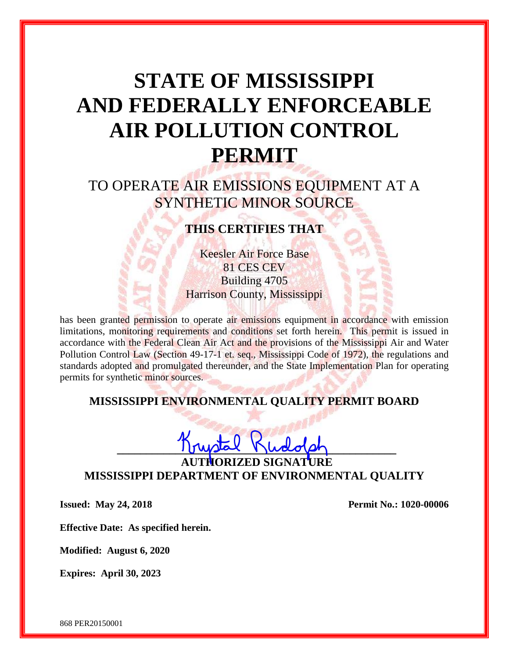# **STATE OF MISSISSIPPI AND FEDERALLY ENFORCEABLE AIR POLLUTION CONTROL PERMIT**

# TO OPERATE AIR EMISSIONS EQUIPMENT AT A SYNTHETIC MINOR SOURCE

# **THIS CERTIFIES THAT**

Keesler Air Force Base 81 CES CEV Building 4705 Harrison County, Mississippi

has been granted permission to operate air emissions equipment in accordance with emission limitations, monitoring requirements and conditions set forth herein. This permit is issued in accordance with the Federal Clean Air Act and the provisions of the Mississippi Air and Water Pollution Control Law (Section 49-17-1 et. seq., Mississippi Code of 1972), the regulations and standards adopted and promulgated thereunder, and the State Implementation Plan for operating permits for synthetic minor sources.

# **MISSISSIPPI ENVIRONMENTAL QUALITY PERMIT BOARD**

**\_\_\_\_\_\_\_\_\_\_\_\_\_\_\_\_\_\_\_\_\_\_\_\_\_\_\_\_\_\_\_\_\_\_\_\_\_\_\_\_\_\_\_\_\_\_\_\_**

**AUTHORIZED SIGNATURE MISSISSIPPI DEPARTMENT OF ENVIRONMENTAL QUALITY**

**Issued: May 24, 2018 Permit No.: 1020-00006**

**Effective Date: As specified herein.**

**Modified: August 6, 2020**

**Expires: April 30, 2023**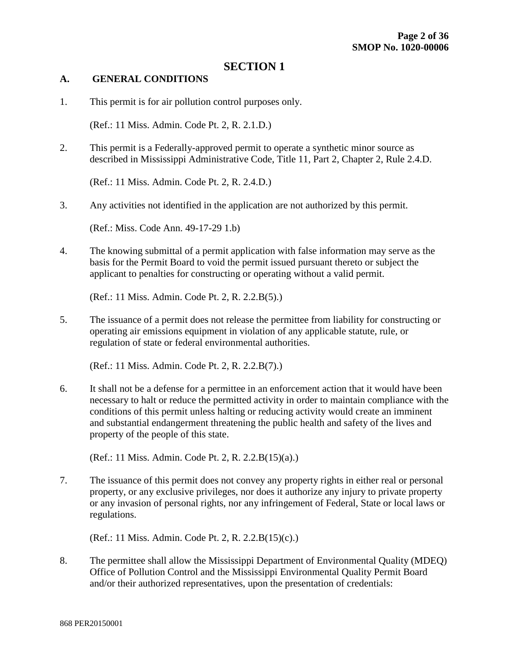#### **SECTION 1**

#### **A. GENERAL CONDITIONS**

1. This permit is for air pollution control purposes only.

(Ref.: 11 Miss. Admin. Code Pt. 2, R. 2.1.D.)

2. This permit is a Federally-approved permit to operate a synthetic minor source as described in Mississippi Administrative Code, Title 11, Part 2, Chapter 2, Rule 2.4.D.

(Ref.: 11 Miss. Admin. Code Pt. 2, R. 2.4.D.)

3. Any activities not identified in the application are not authorized by this permit.

(Ref.: Miss. Code Ann. 49-17-29 1.b)

4. The knowing submittal of a permit application with false information may serve as the basis for the Permit Board to void the permit issued pursuant thereto or subject the applicant to penalties for constructing or operating without a valid permit.

(Ref.: 11 Miss. Admin. Code Pt. 2, R. 2.2.B(5).)

5. The issuance of a permit does not release the permittee from liability for constructing or operating air emissions equipment in violation of any applicable statute, rule, or regulation of state or federal environmental authorities.

(Ref.: 11 Miss. Admin. Code Pt. 2, R. 2.2.B(7).)

6. It shall not be a defense for a permittee in an enforcement action that it would have been necessary to halt or reduce the permitted activity in order to maintain compliance with the conditions of this permit unless halting or reducing activity would create an imminent and substantial endangerment threatening the public health and safety of the lives and property of the people of this state.

(Ref.: 11 Miss. Admin. Code Pt. 2, R. 2.2.B(15)(a).)

7. The issuance of this permit does not convey any property rights in either real or personal property, or any exclusive privileges, nor does it authorize any injury to private property or any invasion of personal rights, nor any infringement of Federal, State or local laws or regulations.

(Ref.: 11 Miss. Admin. Code Pt. 2, R. 2.2.B(15)(c).)

8. The permittee shall allow the Mississippi Department of Environmental Quality (MDEQ) Office of Pollution Control and the Mississippi Environmental Quality Permit Board and/or their authorized representatives, upon the presentation of credentials: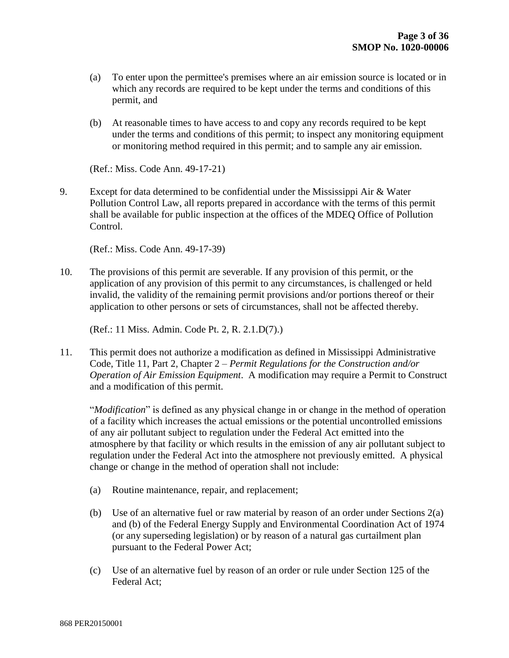- (a) To enter upon the permittee's premises where an air emission source is located or in which any records are required to be kept under the terms and conditions of this permit, and
- (b) At reasonable times to have access to and copy any records required to be kept under the terms and conditions of this permit; to inspect any monitoring equipment or monitoring method required in this permit; and to sample any air emission.

(Ref.: Miss. Code Ann. 49-17-21)

9. Except for data determined to be confidential under the Mississippi Air & Water Pollution Control Law, all reports prepared in accordance with the terms of this permit shall be available for public inspection at the offices of the MDEQ Office of Pollution Control.

(Ref.: Miss. Code Ann. 49-17-39)

10. The provisions of this permit are severable. If any provision of this permit, or the application of any provision of this permit to any circumstances, is challenged or held invalid, the validity of the remaining permit provisions and/or portions thereof or their application to other persons or sets of circumstances, shall not be affected thereby.

(Ref.: 11 Miss. Admin. Code Pt. 2, R. 2.1.D(7).)

11. This permit does not authorize a modification as defined in Mississippi Administrative Code, Title 11, Part 2, Chapter 2 – *Permit Regulations for the Construction and/or Operation of Air Emission Equipment*. A modification may require a Permit to Construct and a modification of this permit.

"*Modification*" is defined as any physical change in or change in the method of operation of a facility which increases the actual emissions or the potential uncontrolled emissions of any air pollutant subject to regulation under the Federal Act emitted into the atmosphere by that facility or which results in the emission of any air pollutant subject to regulation under the Federal Act into the atmosphere not previously emitted. A physical change or change in the method of operation shall not include:

- (a) Routine maintenance, repair, and replacement;
- (b) Use of an alternative fuel or raw material by reason of an order under Sections 2(a) and (b) of the Federal Energy Supply and Environmental Coordination Act of 1974 (or any superseding legislation) or by reason of a natural gas curtailment plan pursuant to the Federal Power Act;
- (c) Use of an alternative fuel by reason of an order or rule under Section 125 of the Federal Act;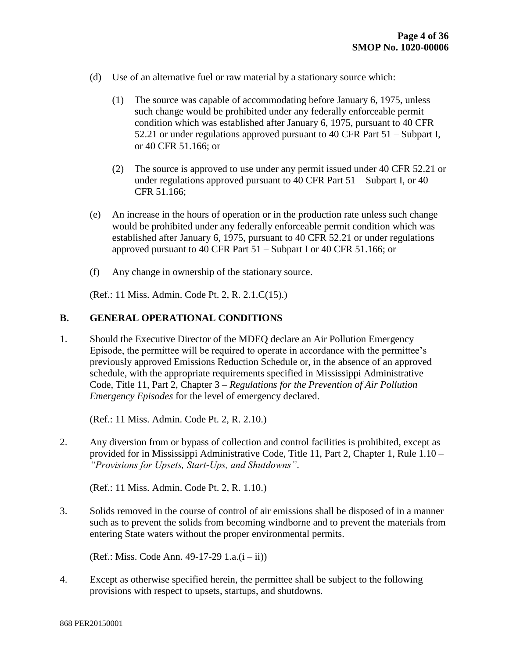- (d) Use of an alternative fuel or raw material by a stationary source which:
	- (1) The source was capable of accommodating before January 6, 1975, unless such change would be prohibited under any federally enforceable permit condition which was established after January 6, 1975, pursuant to 40 CFR 52.21 or under regulations approved pursuant to 40 CFR Part 51 – Subpart I, or 40 CFR 51.166; or
	- (2) The source is approved to use under any permit issued under 40 CFR 52.21 or under regulations approved pursuant to 40 CFR Part 51 – Subpart I, or 40 CFR 51.166;
- (e) An increase in the hours of operation or in the production rate unless such change would be prohibited under any federally enforceable permit condition which was established after January 6, 1975, pursuant to 40 CFR 52.21 or under regulations approved pursuant to 40 CFR Part 51 – Subpart I or 40 CFR 51.166; or
- (f) Any change in ownership of the stationary source.

(Ref.: 11 Miss. Admin. Code Pt. 2, R. 2.1.C(15).)

#### **B. GENERAL OPERATIONAL CONDITIONS**

1. Should the Executive Director of the MDEQ declare an Air Pollution Emergency Episode, the permittee will be required to operate in accordance with the permittee's previously approved Emissions Reduction Schedule or, in the absence of an approved schedule, with the appropriate requirements specified in Mississippi Administrative Code, Title 11, Part 2, Chapter 3 – *Regulations for the Prevention of Air Pollution Emergency Episodes* for the level of emergency declared.

(Ref.: 11 Miss. Admin. Code Pt. 2, R. 2.10.)

2. Any diversion from or bypass of collection and control facilities is prohibited, except as provided for in Mississippi Administrative Code, Title 11, Part 2, Chapter 1, Rule 1.10 – *"Provisions for Upsets, Start-Ups, and Shutdowns"*.

(Ref.: 11 Miss. Admin. Code Pt. 2, R. 1.10.)

3. Solids removed in the course of control of air emissions shall be disposed of in a manner such as to prevent the solids from becoming windborne and to prevent the materials from entering State waters without the proper environmental permits.

(Ref.: Miss. Code Ann. 49-17-29  $1.a.(i - ii)$ )

4. Except as otherwise specified herein, the permittee shall be subject to the following provisions with respect to upsets, startups, and shutdowns.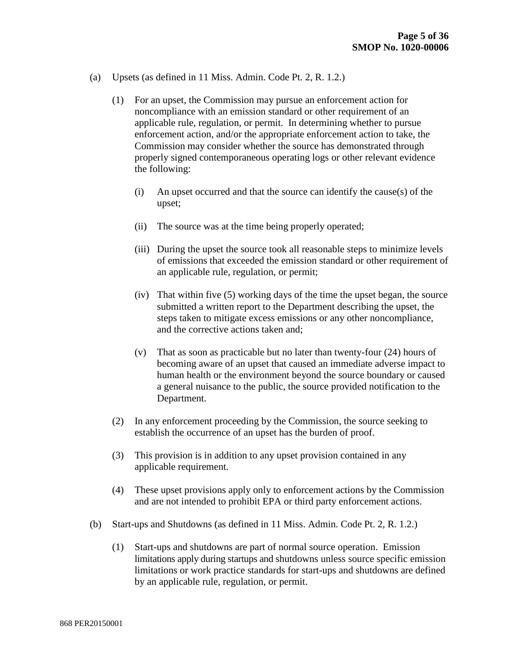- (a) Upsets (as defined in 11 Miss. Admin. Code Pt. 2, R. 1.2.)
	- (1) For an upset, the Commission may pursue an enforcement action for noncompliance with an emission standard or other requirement of an applicable rule, regulation, or permit. In determining whether to pursue enforcement action, and/or the appropriate enforcement action to take, the Commission may consider whether the source has demonstrated through properly signed contemporaneous operating logs or other relevant evidence the following:
		- (i) An upset occurred and that the source can identify the cause(s) of the upset;
		- (ii) The source was at the time being properly operated;
		- (iii) During the upset the source took all reasonable steps to minimize levels of emissions that exceeded the emission standard or other requirement of an applicable rule, regulation, or permit;
		- (iv) That within five (5) working days of the time the upset began, the source submitted a written report to the Department describing the upset, the steps taken to mitigate excess emissions or any other noncompliance, and the corrective actions taken and;
		- (v) That as soon as practicable but no later than twenty-four (24) hours of becoming aware of an upset that caused an immediate adverse impact to human health or the environment beyond the source boundary or caused a general nuisance to the public, the source provided notification to the Department.
	- (2) In any enforcement proceeding by the Commission, the source seeking to establish the occurrence of an upset has the burden of proof.
	- (3) This provision is in addition to any upset provision contained in any applicable requirement.
	- (4) These upset provisions apply only to enforcement actions by the Commission and are not intended to prohibit EPA or third party enforcement actions.
- (b) Start-ups and Shutdowns (as defined in 11 Miss. Admin. Code Pt. 2, R. 1.2.)
	- (1) Start-ups and shutdowns are part of normal source operation. Emission limitations apply during startups and shutdowns unless source specific emission limitations or work practice standards for start-ups and shutdowns are defined by an applicable rule, regulation, or permit.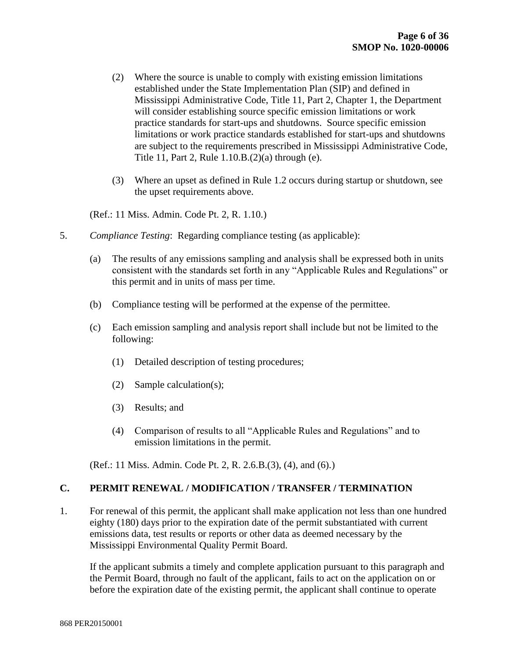- (2) Where the source is unable to comply with existing emission limitations established under the State Implementation Plan (SIP) and defined in Mississippi Administrative Code, Title 11, Part 2, Chapter 1, the Department will consider establishing source specific emission limitations or work practice standards for start-ups and shutdowns. Source specific emission limitations or work practice standards established for start-ups and shutdowns are subject to the requirements prescribed in Mississippi Administrative Code, Title 11, Part 2, Rule 1.10.B.(2)(a) through (e).
- (3) Where an upset as defined in Rule 1.2 occurs during startup or shutdown, see the upset requirements above.

(Ref.: 11 Miss. Admin. Code Pt. 2, R. 1.10.)

- 5. *Compliance Testing*: Regarding compliance testing (as applicable):
	- (a) The results of any emissions sampling and analysis shall be expressed both in units consistent with the standards set forth in any "Applicable Rules and Regulations" or this permit and in units of mass per time.
	- (b) Compliance testing will be performed at the expense of the permittee.
	- (c) Each emission sampling and analysis report shall include but not be limited to the following:
		- (1) Detailed description of testing procedures;
		- (2) Sample calculation(s);
		- (3) Results; and
		- (4) Comparison of results to all "Applicable Rules and Regulations" and to emission limitations in the permit.

(Ref.: 11 Miss. Admin. Code Pt. 2, R. 2.6.B.(3), (4), and (6).)

#### **C. PERMIT RENEWAL / MODIFICATION / TRANSFER / TERMINATION**

1. For renewal of this permit, the applicant shall make application not less than one hundred eighty (180) days prior to the expiration date of the permit substantiated with current emissions data, test results or reports or other data as deemed necessary by the Mississippi Environmental Quality Permit Board.

If the applicant submits a timely and complete application pursuant to this paragraph and the Permit Board, through no fault of the applicant, fails to act on the application on or before the expiration date of the existing permit, the applicant shall continue to operate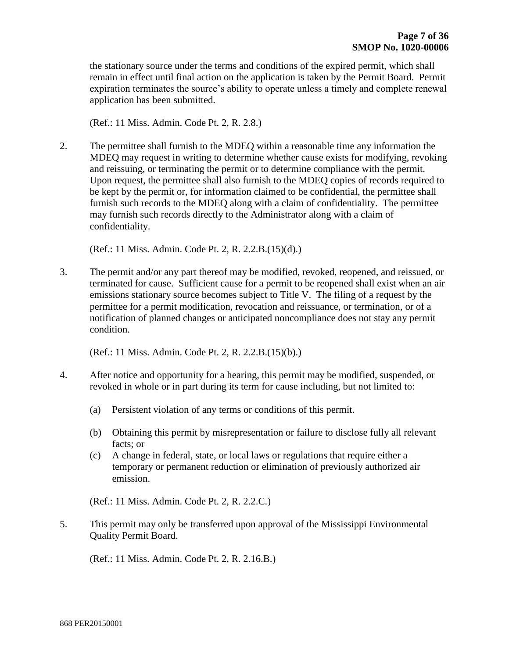the stationary source under the terms and conditions of the expired permit, which shall remain in effect until final action on the application is taken by the Permit Board. Permit expiration terminates the source's ability to operate unless a timely and complete renewal application has been submitted.

(Ref.: 11 Miss. Admin. Code Pt. 2, R. 2.8.)

2. The permittee shall furnish to the MDEQ within a reasonable time any information the MDEQ may request in writing to determine whether cause exists for modifying, revoking and reissuing, or terminating the permit or to determine compliance with the permit. Upon request, the permittee shall also furnish to the MDEQ copies of records required to be kept by the permit or, for information claimed to be confidential, the permittee shall furnish such records to the MDEQ along with a claim of confidentiality. The permittee may furnish such records directly to the Administrator along with a claim of confidentiality.

(Ref.: 11 Miss. Admin. Code Pt. 2, R. 2.2.B.(15)(d).)

3. The permit and/or any part thereof may be modified, revoked, reopened, and reissued, or terminated for cause. Sufficient cause for a permit to be reopened shall exist when an air emissions stationary source becomes subject to Title V. The filing of a request by the permittee for a permit modification, revocation and reissuance, or termination, or of a notification of planned changes or anticipated noncompliance does not stay any permit condition.

(Ref.: 11 Miss. Admin. Code Pt. 2, R. 2.2.B.(15)(b).)

- 4. After notice and opportunity for a hearing, this permit may be modified, suspended, or revoked in whole or in part during its term for cause including, but not limited to:
	- (a) Persistent violation of any terms or conditions of this permit.
	- (b) Obtaining this permit by misrepresentation or failure to disclose fully all relevant facts; or
	- (c) A change in federal, state, or local laws or regulations that require either a temporary or permanent reduction or elimination of previously authorized air emission.

(Ref.: 11 Miss. Admin. Code Pt. 2, R. 2.2.C.)

5. This permit may only be transferred upon approval of the Mississippi Environmental Quality Permit Board.

(Ref.: 11 Miss. Admin. Code Pt. 2, R. 2.16.B.)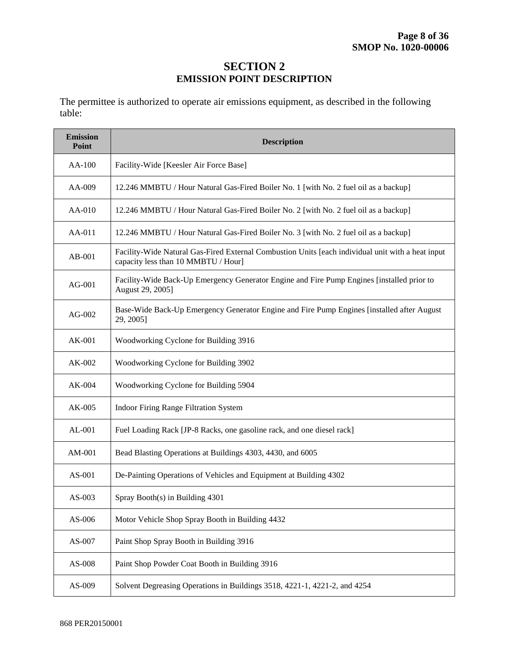## **SECTION 2 EMISSION POINT DESCRIPTION**

The permittee is authorized to operate air emissions equipment, as described in the following table:

| <b>Emission</b><br>Point | <b>Description</b>                                                                                                                       |
|--------------------------|------------------------------------------------------------------------------------------------------------------------------------------|
| $AA-100$                 | Facility-Wide [Keesler Air Force Base]                                                                                                   |
| AA-009                   | 12.246 MMBTU / Hour Natural Gas-Fired Boiler No. 1 [with No. 2 fuel oil as a backup]                                                     |
| $AA-010$                 | 12.246 MMBTU / Hour Natural Gas-Fired Boiler No. 2 [with No. 2 fuel oil as a backup]                                                     |
| AA-011                   | 12.246 MMBTU / Hour Natural Gas-Fired Boiler No. 3 [with No. 2 fuel oil as a backup]                                                     |
| $AB-001$                 | Facility-Wide Natural Gas-Fired External Combustion Units [each individual unit with a heat input<br>capacity less than 10 MMBTU / Hour] |
| $AG-001$                 | Facility-Wide Back-Up Emergency Generator Engine and Fire Pump Engines [installed prior to<br>August 29, 2005]                           |
| $AG-002$                 | Base-Wide Back-Up Emergency Generator Engine and Fire Pump Engines [installed after August<br>29, 2005]                                  |
| $AK-001$                 | Woodworking Cyclone for Building 3916                                                                                                    |
| $AK-002$                 | Woodworking Cyclone for Building 3902                                                                                                    |
| $AK-004$                 | Woodworking Cyclone for Building 5904                                                                                                    |
| $AK-005$                 | Indoor Firing Range Filtration System                                                                                                    |
| AL-001                   | Fuel Loading Rack [JP-8 Racks, one gasoline rack, and one diesel rack]                                                                   |
| AM-001                   | Bead Blasting Operations at Buildings 4303, 4430, and 6005                                                                               |
| AS-001                   | De-Painting Operations of Vehicles and Equipment at Building 4302                                                                        |
| $AS-003$                 | Spray Booth(s) in Building 4301                                                                                                          |
| AS-006                   | Motor Vehicle Shop Spray Booth in Building 4432                                                                                          |
| AS-007                   | Paint Shop Spray Booth in Building 3916                                                                                                  |
| AS-008                   | Paint Shop Powder Coat Booth in Building 3916                                                                                            |
| AS-009                   | Solvent Degreasing Operations in Buildings 3518, 4221-1, 4221-2, and 4254                                                                |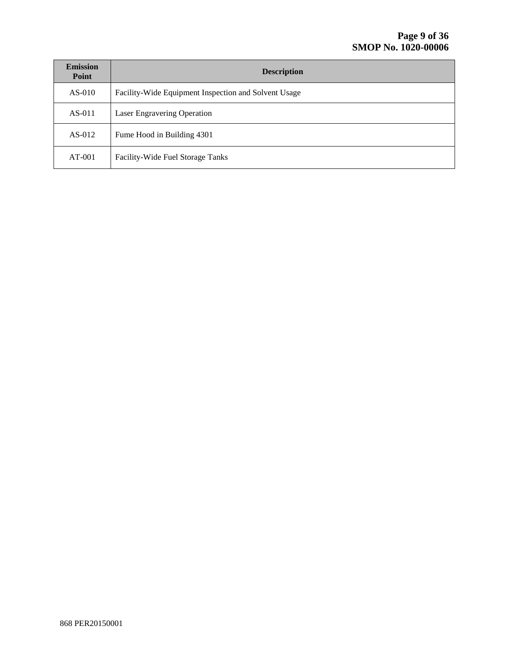| <b>Emission</b><br>Point | <b>Description</b>                                   |
|--------------------------|------------------------------------------------------|
| $AS-010$                 | Facility-Wide Equipment Inspection and Solvent Usage |
| $AS-011$                 | Laser Engravering Operation                          |
| $AS-012$                 | Fume Hood in Building 4301                           |
| $AT-001$                 | Facility-Wide Fuel Storage Tanks                     |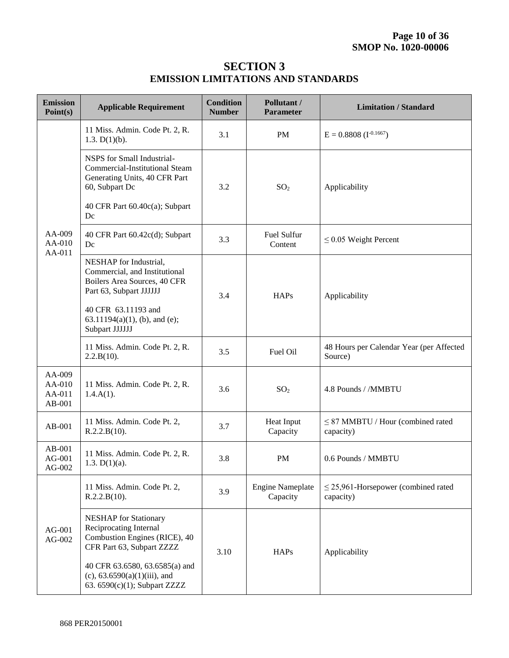# **SECTION 3 EMISSION LIMITATIONS AND STANDARDS**

| <b>Emission</b><br>Point(s)          | <b>Applicable Requirement</b>                                                                                          | <b>Condition</b><br><b>Number</b> | Pollutant /<br><b>Parameter</b>     | <b>Limitation / Standard</b>                          |  |  |
|--------------------------------------|------------------------------------------------------------------------------------------------------------------------|-----------------------------------|-------------------------------------|-------------------------------------------------------|--|--|
|                                      | 11 Miss. Admin. Code Pt. 2, R.<br>1.3. $D(1)(b)$ .                                                                     | 3.1                               | PM                                  | $E = 0.8808$ (I <sup>-0.1667</sup> )                  |  |  |
|                                      | NSPS for Small Industrial-<br><b>Commercial-Institutional Steam</b><br>Generating Units, 40 CFR Part<br>60, Subpart Dc | 3.2                               | SO <sub>2</sub>                     | Applicability                                         |  |  |
|                                      | 40 CFR Part 60.40c(a); Subpart<br>Dc                                                                                   |                                   |                                     |                                                       |  |  |
| AA-009<br>AA-010                     | 40 CFR Part 60.42c(d); Subpart<br>Dc                                                                                   | 3.3                               | Fuel Sulfur<br>Content              | $\leq$ 0.05 Weight Percent                            |  |  |
|                                      | NESHAP for Industrial,<br>Commercial, and Institutional<br>Boilers Area Sources, 40 CFR<br>Part 63, Subpart JJJJJJ     | 3.4                               | <b>HAPs</b>                         | Applicability                                         |  |  |
|                                      | 40 CFR 63.11193 and<br>$63.11194(a)(1)$ , (b), and (e);<br>Subpart JJJJJJ                                              |                                   |                                     |                                                       |  |  |
|                                      | 11 Miss. Admin. Code Pt. 2, R.<br>2.2.B(10).                                                                           | 3.5                               | Fuel Oil                            | 48 Hours per Calendar Year (per Affected<br>Source)   |  |  |
| AA-009<br>AA-010<br>AA-011<br>AB-001 | 11 Miss. Admin. Code Pt. 2, R.<br>$1.4.A(1)$ .                                                                         | 3.6                               | SO <sub>2</sub>                     | 4.8 Pounds / /MMBTU                                   |  |  |
| $AB-001$                             | 11 Miss. Admin. Code Pt. 2,<br>R.2.2.B(10).                                                                            | 3.7                               | Heat Input<br>Capacity              | $\leq$ 87 MMBTU / Hour (combined rated<br>capacity)   |  |  |
| $AB-001$<br>$AG-001$<br>$AG-002$     | 11 Miss. Admin. Code Pt. 2, R.<br>1.3. $D(1)(a)$ .                                                                     | 3.8                               | PM                                  | 0.6 Pounds / MMBTU                                    |  |  |
|                                      | 11 Miss. Admin. Code Pt. 2,<br>R.2.2.B(10).                                                                            | 3.9                               | <b>Engine Nameplate</b><br>Capacity | $\leq$ 25,961-Horsepower (combined rated<br>capacity) |  |  |
| $AG-001$<br>AG-002                   | <b>NESHAP</b> for Stationary<br>Reciprocating Internal<br>Combustion Engines (RICE), 40<br>CFR Part 63, Subpart ZZZZ   | 3.10                              | <b>HAPs</b>                         | Applicability                                         |  |  |
| AA-011                               | 40 CFR 63.6580, 63.6585(a) and<br>$(c)$ , 63.6590(a)(1)(iii), and<br>63. 6590(c)(1); Subpart ZZZZ                      |                                   |                                     |                                                       |  |  |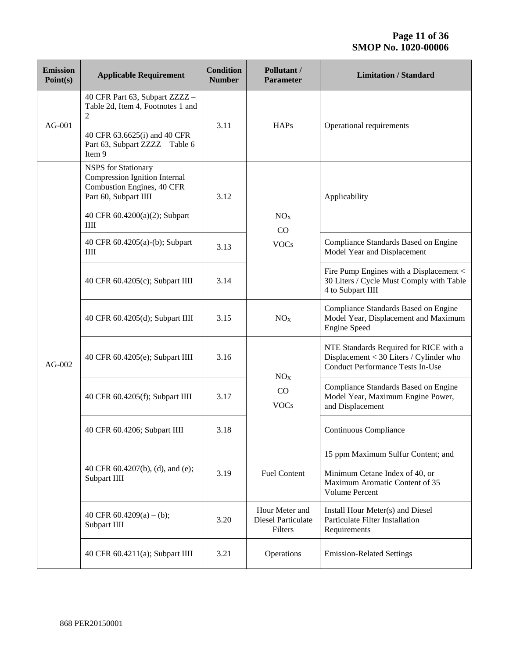| <b>Emission</b><br>Point(s) | <b>Applicable Requirement</b>                                                                                                                         | <b>Condition</b><br><b>Number</b> | Pollutant /<br><b>Parameter</b>                        | <b>Limitation / Standard</b>                                                                                                 |  |  |  |
|-----------------------------|-------------------------------------------------------------------------------------------------------------------------------------------------------|-----------------------------------|--------------------------------------------------------|------------------------------------------------------------------------------------------------------------------------------|--|--|--|
| $AG-001$                    | 40 CFR Part 63, Subpart ZZZZ -<br>Table 2d, Item 4, Footnotes 1 and<br>2<br>40 CFR 63.6625(i) and 40 CFR<br>Part 63, Subpart ZZZZ - Table 6<br>Item 9 | 3.11                              | <b>HAPs</b>                                            | Operational requirements                                                                                                     |  |  |  |
|                             | <b>NSPS</b> for Stationary<br>Compression Ignition Internal<br>Combustion Engines, 40 CFR<br>Part 60, Subpart IIII<br>40 CFR 60.4200(a)(2); Subpart   | 3.12                              | NO <sub>X</sub>                                        | Applicability                                                                                                                |  |  |  |
|                             | ШI                                                                                                                                                    |                                   | CO                                                     |                                                                                                                              |  |  |  |
|                             | 40 CFR 60.4205(a)-(b); Subpart<br>Ш                                                                                                                   | 3.13                              | <b>VOCs</b>                                            | Compliance Standards Based on Engine<br>Model Year and Displacement                                                          |  |  |  |
|                             | 40 CFR 60.4205(c); Subpart IIII                                                                                                                       | 3.14                              |                                                        | Fire Pump Engines with a Displacement <<br>30 Liters / Cycle Must Comply with Table<br>4 to Subpart IIII                     |  |  |  |
|                             | 40 CFR 60.4205(d); Subpart IIII                                                                                                                       | 3.15                              | NO <sub>X</sub>                                        | Compliance Standards Based on Engine<br>Model Year, Displacement and Maximum<br><b>Engine Speed</b>                          |  |  |  |
| $AG-002$                    | 40 CFR 60.4205(e); Subpart IIII                                                                                                                       | 3.16                              | NO <sub>X</sub>                                        | NTE Standards Required for RICE with a<br>Displacement < 30 Liters / Cylinder who<br><b>Conduct Performance Tests In-Use</b> |  |  |  |
|                             | 40 CFR 60.4205(f); Subpart IIII                                                                                                                       | 3.17                              | CO<br><b>VOCs</b>                                      | Compliance Standards Based on Engine<br>Model Year, Maximum Engine Power,<br>and Displacement                                |  |  |  |
|                             | 40 CFR 60.4206; Subpart IIII                                                                                                                          | 3.18                              |                                                        | Continuous Compliance                                                                                                        |  |  |  |
|                             | 40 CFR 60.4207(b), (d), and (e);<br>Subpart IIII                                                                                                      | 3.19                              | <b>Fuel Content</b>                                    | 15 ppm Maximum Sulfur Content; and<br>Minimum Cetane Index of 40, or<br>Maximum Aromatic Content of 35<br>Volume Percent     |  |  |  |
|                             | 40 CFR $60.4209(a) - (b)$ ;<br>Subpart IIII                                                                                                           | 3.20                              | Hour Meter and<br><b>Diesel Particulate</b><br>Filters | Install Hour Meter(s) and Diesel<br>Particulate Filter Installation<br>Requirements                                          |  |  |  |
|                             | 40 CFR 60.4211(a); Subpart IIII                                                                                                                       | 3.21                              | Operations                                             | <b>Emission-Related Settings</b>                                                                                             |  |  |  |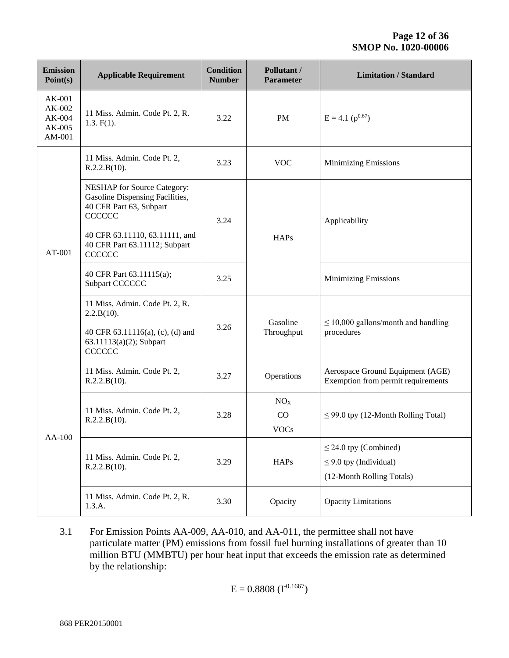| <b>Emission</b><br>Point(s)                      | <b>Applicable Requirement</b>                                                                                                                                                                         | <b>Condition</b><br><b>Number</b> | Pollutant /<br><b>Parameter</b>      | <b>Limitation / Standard</b>                                                           |
|--------------------------------------------------|-------------------------------------------------------------------------------------------------------------------------------------------------------------------------------------------------------|-----------------------------------|--------------------------------------|----------------------------------------------------------------------------------------|
| $AK-001$<br>AK-002<br>AK-004<br>AK-005<br>AM-001 | 11 Miss. Admin. Code Pt. 2, R.<br>$1.3. F(1)$ .                                                                                                                                                       | 3.22                              | PM                                   | $E = 4.1$ ( $p^{0.67}$ )                                                               |
|                                                  | 11 Miss. Admin. Code Pt. 2,<br>R.2.2.B(10).                                                                                                                                                           | 3.23                              | <b>VOC</b>                           | <b>Minimizing Emissions</b>                                                            |
| AT-001                                           | <b>NESHAP</b> for Source Category:<br>Gasoline Dispensing Facilities,<br>40 CFR Part 63, Subpart<br><b>CCCCCC</b><br>40 CFR 63.11110, 63.11111, and<br>40 CFR Part 63.11112; Subpart<br><b>CCCCCC</b> | 3.24                              | <b>HAPs</b>                          | Applicability                                                                          |
|                                                  | 40 CFR Part 63.11115(a);<br>Subpart CCCCCC                                                                                                                                                            | 3.25                              |                                      | <b>Minimizing Emissions</b>                                                            |
|                                                  | 11 Miss. Admin. Code Pt. 2, R.<br>2.2.B(10).<br>40 CFR 63.11116(a), (c), (d) and<br>63.11113(a)(2); Subpart<br><b>CCCCCC</b>                                                                          | 3.26                              | Gasoline<br>Throughput               | $\leq$ 10,000 gallons/month and handling<br>procedures                                 |
|                                                  | 11 Miss. Admin. Code Pt. 2,<br>R.2.2.B(10).                                                                                                                                                           | 3.27                              | Operations                           | Aerospace Ground Equipment (AGE)<br>Exemption from permit requirements                 |
|                                                  | 11 Miss. Admin. Code Pt. 2,<br>R.2.2.B(10).                                                                                                                                                           | 3.28                              | NO <sub>X</sub><br>CO<br><b>VOCs</b> | $\leq$ 99.0 tpy (12-Month Rolling Total)                                               |
| AA-100                                           | 11 Miss. Admin. Code Pt. 2,<br>R.2.2.B(10).                                                                                                                                                           | 3.29                              | <b>HAPs</b>                          | $\leq$ 24.0 tpy (Combined)<br>$\leq$ 9.0 tpy (Individual)<br>(12-Month Rolling Totals) |
|                                                  | 11 Miss. Admin. Code Pt. 2, R.<br>1.3.A.                                                                                                                                                              | 3.30                              | Opacity                              | <b>Opacity Limitations</b>                                                             |

3.1 For Emission Points AA-009, AA-010, and AA-011, the permittee shall not have particulate matter (PM) emissions from fossil fuel burning installations of greater than 10 million BTU (MMBTU) per hour heat input that exceeds the emission rate as determined by the relationship:

$$
E = 0.8808 \ (I^{-0.1667})
$$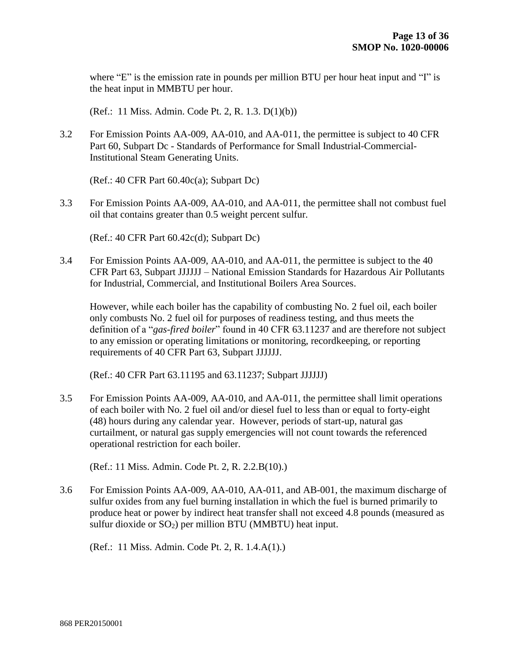where "E" is the emission rate in pounds per million BTU per hour heat input and "I" is the heat input in MMBTU per hour.

(Ref.: 11 Miss. Admin. Code Pt. 2, R. 1.3. D(1)(b))

3.2 For Emission Points AA-009, AA-010, and AA-011, the permittee is subject to 40 CFR Part 60, Subpart Dc - Standards of Performance for Small Industrial-Commercial-Institutional Steam Generating Units.

(Ref.: 40 CFR Part 60.40c(a); Subpart Dc)

3.3 For Emission Points AA-009, AA-010, and AA-011, the permittee shall not combust fuel oil that contains greater than 0.5 weight percent sulfur.

(Ref.: 40 CFR Part 60.42c(d); Subpart Dc)

3.4 For Emission Points AA-009, AA-010, and AA-011, the permittee is subject to the 40 CFR Part 63, Subpart JJJJJJ – National Emission Standards for Hazardous Air Pollutants for Industrial, Commercial, and Institutional Boilers Area Sources.

However, while each boiler has the capability of combusting No. 2 fuel oil, each boiler only combusts No. 2 fuel oil for purposes of readiness testing, and thus meets the definition of a "*gas-fired boiler*" found in 40 CFR 63.11237 and are therefore not subject to any emission or operating limitations or monitoring, recordkeeping, or reporting requirements of 40 CFR Part 63, Subpart JJJJJJ.

(Ref.: 40 CFR Part 63.11195 and 63.11237; Subpart JJJJJJ)

3.5 For Emission Points AA-009, AA-010, and AA-011, the permittee shall limit operations of each boiler with No. 2 fuel oil and/or diesel fuel to less than or equal to forty-eight (48) hours during any calendar year. However, periods of start-up, natural gas curtailment, or natural gas supply emergencies will not count towards the referenced operational restriction for each boiler.

(Ref.: 11 Miss. Admin. Code Pt. 2, R. 2.2.B(10).)

3.6 For Emission Points AA-009, AA-010, AA-011, and AB-001, the maximum discharge of sulfur oxides from any fuel burning installation in which the fuel is burned primarily to produce heat or power by indirect heat transfer shall not exceed 4.8 pounds (measured as sulfur dioxide or  $SO_2$ ) per million BTU (MMBTU) heat input.

(Ref.: 11 Miss. Admin. Code Pt. 2, R. 1.4.A(1).)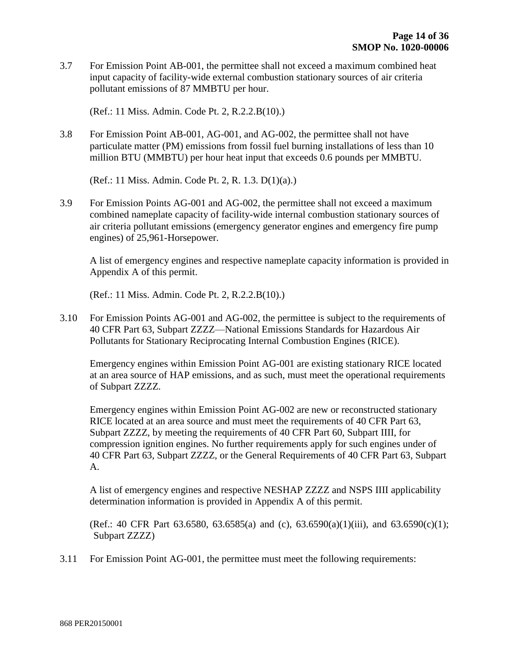3.7 For Emission Point AB-001, the permittee shall not exceed a maximum combined heat input capacity of facility-wide external combustion stationary sources of air criteria pollutant emissions of 87 MMBTU per hour.

(Ref.: 11 Miss. Admin. Code Pt. 2, R.2.2.B(10).)

3.8 For Emission Point AB-001, AG-001, and AG-002, the permittee shall not have particulate matter (PM) emissions from fossil fuel burning installations of less than 10 million BTU (MMBTU) per hour heat input that exceeds 0.6 pounds per MMBTU.

(Ref.: 11 Miss. Admin. Code Pt. 2, R. 1.3. D(1)(a).)

3.9 For Emission Points AG-001 and AG-002, the permittee shall not exceed a maximum combined nameplate capacity of facility-wide internal combustion stationary sources of air criteria pollutant emissions (emergency generator engines and emergency fire pump engines) of 25,961-Horsepower.

A list of emergency engines and respective nameplate capacity information is provided in Appendix A of this permit.

(Ref.: 11 Miss. Admin. Code Pt. 2, R.2.2.B(10).)

3.10 For Emission Points AG-001 and AG-002, the permittee is subject to the requirements of 40 CFR Part 63, Subpart ZZZZ—National Emissions Standards for Hazardous Air Pollutants for Stationary Reciprocating Internal Combustion Engines (RICE).

Emergency engines within Emission Point AG-001 are existing stationary RICE located at an area source of HAP emissions, and as such, must meet the operational requirements of Subpart ZZZZ.

Emergency engines within Emission Point AG-002 are new or reconstructed stationary RICE located at an area source and must meet the requirements of 40 CFR Part 63, Subpart ZZZZ, by meeting the requirements of 40 CFR Part 60, Subpart IIII, for compression ignition engines. No further requirements apply for such engines under of 40 CFR Part 63, Subpart ZZZZ, or the General Requirements of 40 CFR Part 63, Subpart A.

A list of emergency engines and respective NESHAP ZZZZ and NSPS IIII applicability determination information is provided in Appendix A of this permit.

(Ref.: 40 CFR Part 63.6580, 63.6585(a) and (c), 63.6590(a)(1)(iii), and 63.6590(c)(1); Subpart ZZZZ)

3.11 For Emission Point AG-001, the permittee must meet the following requirements: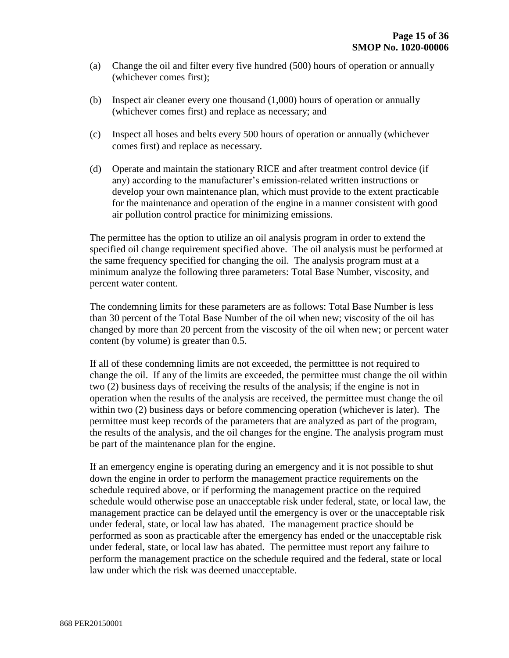- (a) Change the oil and filter every five hundred (500) hours of operation or annually (whichever comes first);
- (b) Inspect air cleaner every one thousand (1,000) hours of operation or annually (whichever comes first) and replace as necessary; and
- (c) Inspect all hoses and belts every 500 hours of operation or annually (whichever comes first) and replace as necessary.
- (d) Operate and maintain the stationary RICE and after treatment control device (if any) according to the manufacturer's emission-related written instructions or develop your own maintenance plan, which must provide to the extent practicable for the maintenance and operation of the engine in a manner consistent with good air pollution control practice for minimizing emissions.

The permittee has the option to utilize an oil analysis program in order to extend the specified oil change requirement specified above. The oil analysis must be performed at the same frequency specified for changing the oil. The analysis program must at a minimum analyze the following three parameters: Total Base Number, viscosity, and percent water content.

The condemning limits for these parameters are as follows: Total Base Number is less than 30 percent of the Total Base Number of the oil when new; viscosity of the oil has changed by more than 20 percent from the viscosity of the oil when new; or percent water content (by volume) is greater than 0.5.

If all of these condemning limits are not exceeded, the permitttee is not required to change the oil. If any of the limits are exceeded, the permittee must change the oil within two (2) business days of receiving the results of the analysis; if the engine is not in operation when the results of the analysis are received, the permittee must change the oil within two (2) business days or before commencing operation (whichever is later). The permittee must keep records of the parameters that are analyzed as part of the program, the results of the analysis, and the oil changes for the engine. The analysis program must be part of the maintenance plan for the engine.

If an emergency engine is operating during an emergency and it is not possible to shut down the engine in order to perform the management practice requirements on the schedule required above, or if performing the management practice on the required schedule would otherwise pose an unacceptable risk under federal, state, or local law, the management practice can be delayed until the emergency is over or the unacceptable risk under federal, state, or local law has abated. The management practice should be performed as soon as practicable after the emergency has ended or the unacceptable risk under federal, state, or local law has abated. The permittee must report any failure to perform the management practice on the schedule required and the federal, state or local law under which the risk was deemed unacceptable.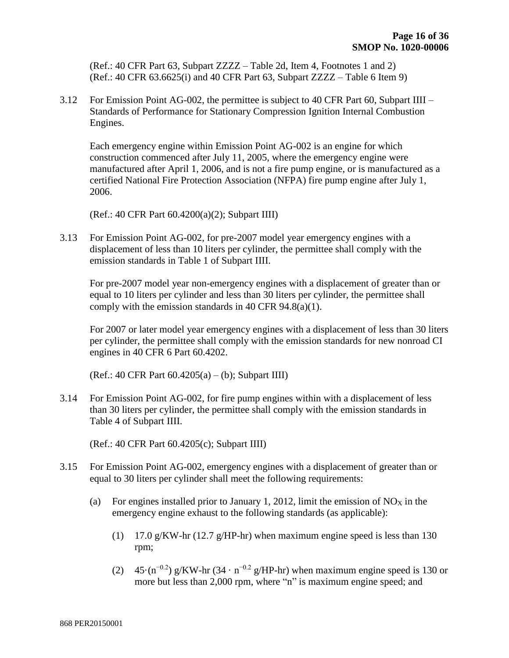(Ref.: 40 CFR Part 63, Subpart ZZZZ – Table 2d, Item 4, Footnotes 1 and 2) (Ref.: 40 CFR 63.6625(i) and 40 CFR Part 63, Subpart ZZZZ – Table 6 Item 9)

3.12 For Emission Point AG-002, the permittee is subject to 40 CFR Part 60, Subpart IIII – Standards of Performance for Stationary Compression Ignition Internal Combustion Engines.

Each emergency engine within Emission Point AG-002 is an engine for which construction commenced after July 11, 2005, where the emergency engine were manufactured after April 1, 2006, and is not a fire pump engine, or is manufactured as a certified National Fire Protection Association (NFPA) fire pump engine after July 1, 2006.

(Ref.: 40 CFR Part 60.4200(a)(2); Subpart IIII)

3.13 For Emission Point AG-002, for pre-2007 model year emergency engines with a displacement of less than 10 liters per cylinder, the permittee shall comply with the emission standards in Table 1 of Subpart IIII.

For pre-2007 model year non-emergency engines with a displacement of greater than or equal to 10 liters per cylinder and less than 30 liters per cylinder, the permittee shall comply with the emission standards in 40 CFR 94.8(a)(1).

For 2007 or later model year emergency engines with a displacement of less than 30 liters per cylinder, the permittee shall comply with the emission standards for new nonroad CI engines in 40 CFR 6 Part 60.4202.

(Ref.: 40 CFR Part 60.4205(a) – (b); Subpart IIII)

3.14 For Emission Point AG-002, for fire pump engines within with a displacement of less than 30 liters per cylinder, the permittee shall comply with the emission standards in Table 4 of Subpart IIII.

(Ref.: 40 CFR Part 60.4205(c); Subpart IIII)

- 3.15 For Emission Point AG-002, emergency engines with a displacement of greater than or equal to 30 liters per cylinder shall meet the following requirements:
	- (a) For engines installed prior to January 1, 2012, limit the emission of  $NO<sub>X</sub>$  in the emergency engine exhaust to the following standards (as applicable):
		- (1) 17.0 g/KW-hr (12.7 g/HP-hr) when maximum engine speed is less than 130 rpm;
		- (2) 45 $\cdot$ (n<sup>-0.2</sup>) g/KW-hr (34  $\cdot$  n<sup>-0.2</sup> g/HP-hr) when maximum engine speed is 130 or more but less than 2,000 rpm, where "n" is maximum engine speed; and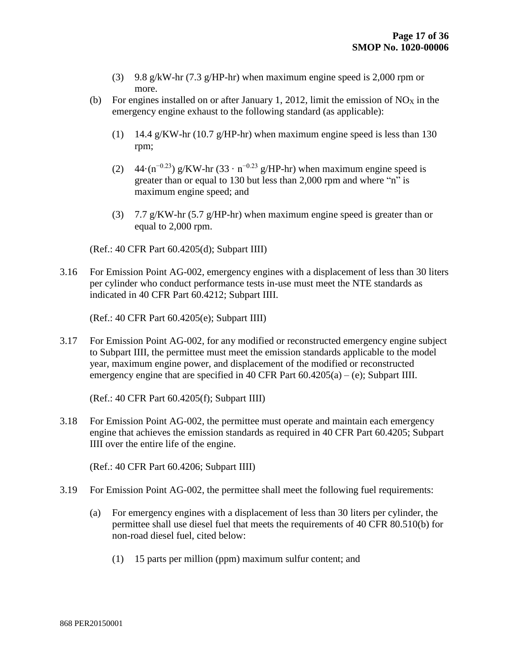- (3) 9.8 g/kW-hr (7.3 g/HP-hr) when maximum engine speed is 2,000 rpm or more.
- (b) For engines installed on or after January 1, 2012, limit the emission of  $NO_X$  in the emergency engine exhaust to the following standard (as applicable):
	- (1) 14.4 g/KW-hr (10.7 g/HP-hr) when maximum engine speed is less than 130 rpm;
	- (2) 44 $\cdot$ (n<sup>-0.23</sup>) g/KW-hr (33  $\cdot$  n<sup>-0.23</sup> g/HP-hr) when maximum engine speed is greater than or equal to 130 but less than 2,000 rpm and where "n" is maximum engine speed; and
	- (3) 7.7 g/KW-hr (5.7 g/HP-hr) when maximum engine speed is greater than or equal to 2,000 rpm.

(Ref.: 40 CFR Part 60.4205(d); Subpart IIII)

3.16 For Emission Point AG-002, emergency engines with a displacement of less than 30 liters per cylinder who conduct performance tests in-use must meet the NTE standards as indicated in 40 CFR Part 60.4212; Subpart IIII.

(Ref.: 40 CFR Part 60.4205(e); Subpart IIII)

3.17 For Emission Point AG-002, for any modified or reconstructed emergency engine subject to Subpart IIII, the permittee must meet the emission standards applicable to the model year, maximum engine power, and displacement of the modified or reconstructed emergency engine that are specified in 40 CFR Part  $60.4205(a) - (e)$ ; Subpart IIII.

(Ref.: 40 CFR Part 60.4205(f); Subpart IIII)

3.18 For Emission Point AG-002, the permittee must operate and maintain each emergency engine that achieves the emission standards as required in 40 CFR Part 60.4205; Subpart IIII over the entire life of the engine.

(Ref.: 40 CFR Part 60.4206; Subpart IIII)

- 3.19 For Emission Point AG-002, the permittee shall meet the following fuel requirements:
	- (a) For emergency engines with a displacement of less than 30 liters per cylinder, the permittee shall use diesel fuel that meets the requirements of 40 CFR 80.510(b) for non-road diesel fuel, cited below:
		- (1) 15 parts per million (ppm) maximum sulfur content; and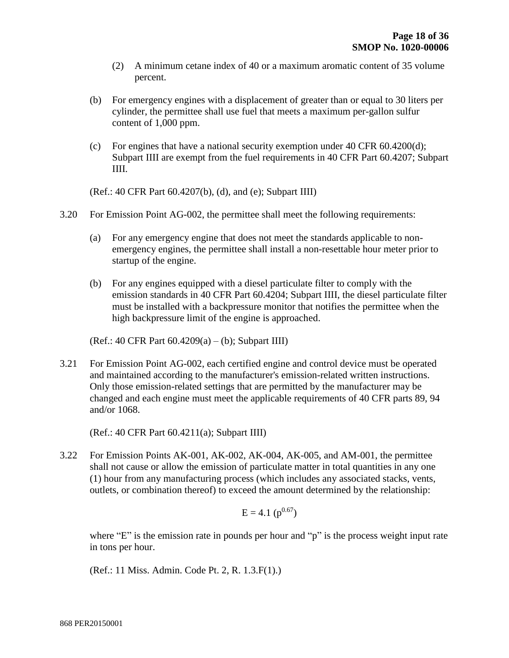- (2) A minimum cetane index of 40 or a maximum aromatic content of 35 volume percent.
- (b) For emergency engines with a displacement of greater than or equal to 30 liters per cylinder, the permittee shall use fuel that meets a maximum per-gallon sulfur content of 1,000 ppm.
- (c) For engines that have a national security exemption under 40 CFR 60.4200(d); Subpart IIII are exempt from the fuel requirements in 40 CFR Part 60.4207; Subpart IIII.

(Ref.: 40 CFR Part 60.4207(b), (d), and (e); Subpart IIII)

- 3.20 For Emission Point AG-002, the permittee shall meet the following requirements:
	- (a) For any emergency engine that does not meet the standards applicable to nonemergency engines, the permittee shall install a non-resettable hour meter prior to startup of the engine.
	- (b) For any engines equipped with a diesel particulate filter to comply with the emission standards in 40 CFR Part 60.4204; Subpart IIII, the diesel particulate filter must be installed with a backpressure monitor that notifies the permittee when the high backpressure limit of the engine is approached.

(Ref.: 40 CFR Part 60.4209(a) – (b); Subpart IIII)

3.21 For Emission Point AG-002, each certified engine and control device must be operated and maintained according to the manufacturer's emission-related written instructions. Only those emission-related settings that are permitted by the manufacturer may be changed and each engine must meet the applicable requirements of 40 CFR parts 89, 94 and/or 1068.

(Ref.: 40 CFR Part 60.4211(a); Subpart IIII)

3.22 For Emission Points AK-001, AK-002, AK-004, AK-005, and AM-001, the permittee shall not cause or allow the emission of particulate matter in total quantities in any one (1) hour from any manufacturing process (which includes any associated stacks, vents, outlets, or combination thereof) to exceed the amount determined by the relationship:

$$
E = 4.1 \; (p^{0.67})
$$

where "E" is the emission rate in pounds per hour and "p" is the process weight input rate in tons per hour.

(Ref.: 11 Miss. Admin. Code Pt. 2, R. 1.3.F(1).)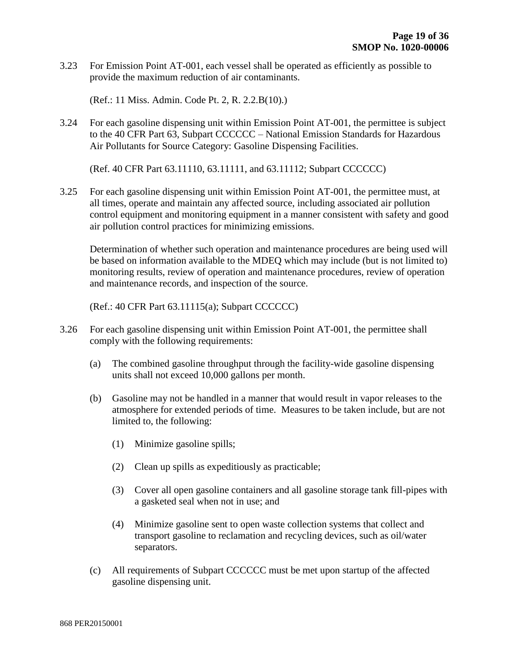3.23 For Emission Point AT-001, each vessel shall be operated as efficiently as possible to provide the maximum reduction of air contaminants.

(Ref.: 11 Miss. Admin. Code Pt. 2, R. 2.2.B(10).)

3.24 For each gasoline dispensing unit within Emission Point AT-001, the permittee is subject to the 40 CFR Part 63, Subpart CCCCCC – National Emission Standards for Hazardous Air Pollutants for Source Category: Gasoline Dispensing Facilities.

(Ref. 40 CFR Part 63.11110, 63.11111, and 63.11112; Subpart CCCCCC)

3.25 For each gasoline dispensing unit within Emission Point AT-001, the permittee must, at all times, operate and maintain any affected source, including associated air pollution control equipment and monitoring equipment in a manner consistent with safety and good air pollution control practices for minimizing emissions.

Determination of whether such operation and maintenance procedures are being used will be based on information available to the MDEQ which may include (but is not limited to) monitoring results, review of operation and maintenance procedures, review of operation and maintenance records, and inspection of the source.

(Ref.: 40 CFR Part 63.11115(a); Subpart CCCCCC)

- 3.26 For each gasoline dispensing unit within Emission Point AT-001, the permittee shall comply with the following requirements:
	- (a) The combined gasoline throughput through the facility-wide gasoline dispensing units shall not exceed 10,000 gallons per month.
	- (b) Gasoline may not be handled in a manner that would result in vapor releases to the atmosphere for extended periods of time. Measures to be taken include, but are not limited to, the following:
		- (1) Minimize gasoline spills;
		- (2) Clean up spills as expeditiously as practicable;
		- (3) Cover all open gasoline containers and all gasoline storage tank fill-pipes with a gasketed seal when not in use; and
		- (4) Minimize gasoline sent to open waste collection systems that collect and transport gasoline to reclamation and recycling devices, such as oil/water separators.
	- (c) All requirements of Subpart CCCCCC must be met upon startup of the affected gasoline dispensing unit.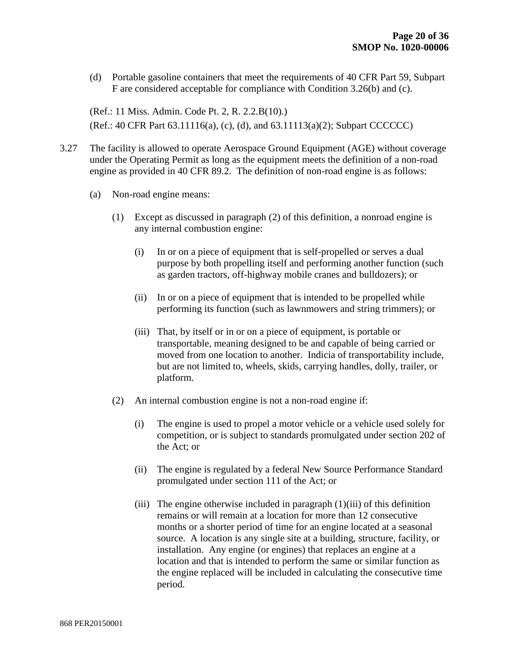(d) Portable gasoline containers that meet the requirements of 40 CFR Part 59, Subpart F are considered acceptable for compliance with Condition 3.26(b) and (c).

(Ref.: 11 Miss. Admin. Code Pt. 2, R. 2.2.B(10).) (Ref.: 40 CFR Part 63.11116(a), (c), (d), and 63.11113(a)(2); Subpart CCCCCC)

- 3.27 The facility is allowed to operate Aerospace Ground Equipment (AGE) without coverage under the Operating Permit as long as the equipment meets the definition of a non-road engine as provided in 40 CFR 89.2. The definition of non-road engine is as follows:
	- (a) Non-road engine means:
		- (1) Except as discussed in paragraph (2) of this definition, a nonroad engine is any internal combustion engine:
			- (i) In or on a piece of equipment that is self-propelled or serves a dual purpose by both propelling itself and performing another function (such as garden tractors, off-highway mobile cranes and bulldozers); or
			- (ii) In or on a piece of equipment that is intended to be propelled while performing its function (such as lawnmowers and string trimmers); or
			- (iii) That, by itself or in or on a piece of equipment, is portable or transportable, meaning designed to be and capable of being carried or moved from one location to another. Indicia of transportability include, but are not limited to, wheels, skids, carrying handles, dolly, trailer, or platform.
		- (2) An internal combustion engine is not a non-road engine if:
			- (i) The engine is used to propel a motor vehicle or a vehicle used solely for competition, or is subject to standards promulgated under section 202 of the Act; or
			- (ii) The engine is regulated by a federal New Source Performance Standard promulgated under section 111 of the Act; or
			- (iii) The engine otherwise included in paragraph (1)(iii) of this definition remains or will remain at a location for more than 12 consecutive months or a shorter period of time for an engine located at a seasonal source. A location is any single site at a building, structure, facility, or installation. Any engine (or engines) that replaces an engine at a location and that is intended to perform the same or similar function as the engine replaced will be included in calculating the consecutive time period.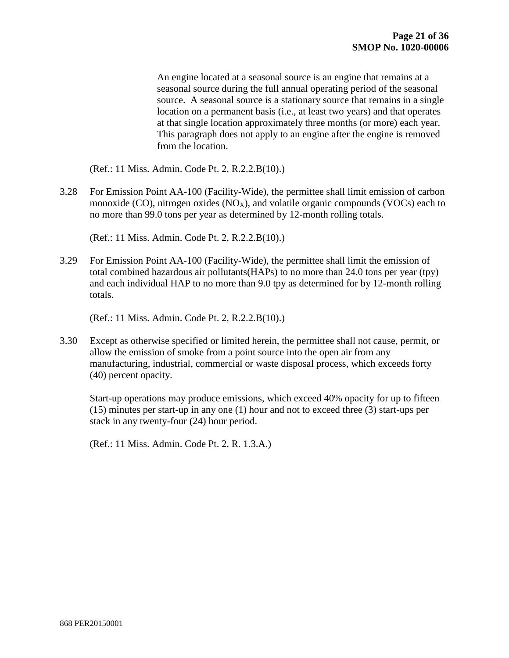An engine located at a seasonal source is an engine that remains at a seasonal source during the full annual operating period of the seasonal source. A seasonal source is a stationary source that remains in a single location on a permanent basis (i.e., at least two years) and that operates at that single location approximately three months (or more) each year. This paragraph does not apply to an engine after the engine is removed from the location.

(Ref.: 11 Miss. Admin. Code Pt. 2, R.2.2.B(10).)

3.28 For Emission Point AA-100 (Facility-Wide), the permittee shall limit emission of carbon monoxide (CO), nitrogen oxides ( $NO_X$ ), and volatile organic compounds ( $VOC_S$ ) each to no more than 99.0 tons per year as determined by 12-month rolling totals.

(Ref.: 11 Miss. Admin. Code Pt. 2, R.2.2.B(10).)

3.29 For Emission Point AA-100 (Facility-Wide), the permittee shall limit the emission of total combined hazardous air pollutants(HAPs) to no more than 24.0 tons per year (tpy) and each individual HAP to no more than 9.0 tpy as determined for by 12-month rolling totals.

(Ref.: 11 Miss. Admin. Code Pt. 2, R.2.2.B(10).)

3.30 Except as otherwise specified or limited herein, the permittee shall not cause, permit, or allow the emission of smoke from a point source into the open air from any manufacturing, industrial, commercial or waste disposal process, which exceeds forty (40) percent opacity.

Start-up operations may produce emissions, which exceed 40% opacity for up to fifteen (15) minutes per start-up in any one (1) hour and not to exceed three (3) start-ups per stack in any twenty-four (24) hour period.

(Ref.: 11 Miss. Admin. Code Pt. 2, R. 1.3.A.)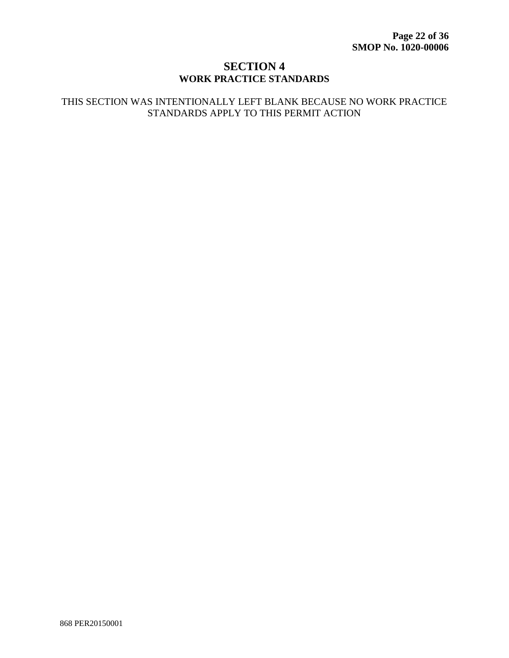### **SECTION 4 WORK PRACTICE STANDARDS**

#### THIS SECTION WAS INTENTIONALLY LEFT BLANK BECAUSE NO WORK PRACTICE STANDARDS APPLY TO THIS PERMIT ACTION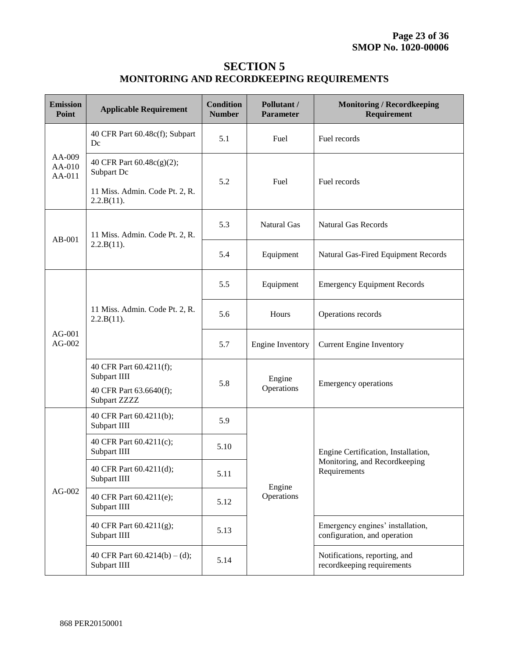## **SECTION 5 MONITORING AND RECORDKEEPING REQUIREMENTS**

| <b>Emission</b><br>Point   | <b>Applicable Requirement</b>                                                           | <b>Condition</b><br><b>Number</b> | Pollutant /<br><b>Parameter</b> | <b>Monitoring / Recordkeeping</b><br>Requirement                 |  |  |
|----------------------------|-----------------------------------------------------------------------------------------|-----------------------------------|---------------------------------|------------------------------------------------------------------|--|--|
|                            | 40 CFR Part 60.48c(f); Subpart<br>Dc                                                    | 5.1                               | Fuel                            | Fuel records                                                     |  |  |
| AA-009<br>AA-010<br>AA-011 | 40 CFR Part 60.48c(g)(2);<br>Subpart Dc<br>11 Miss. Admin. Code Pt. 2, R.<br>2.2.B(11). | 5.2                               | Fuel                            | Fuel records                                                     |  |  |
| $AB-001$                   | 11 Miss. Admin. Code Pt. 2, R.                                                          | 5.3                               | <b>Natural Gas</b>              | <b>Natural Gas Records</b>                                       |  |  |
|                            | 2.2.B(11).                                                                              | 5.4                               | Equipment                       | Natural Gas-Fired Equipment Records                              |  |  |
| $AG-001$<br>AG-002         |                                                                                         | 5.5                               | Equipment                       | <b>Emergency Equipment Records</b>                               |  |  |
|                            | 11 Miss. Admin. Code Pt. 2, R.<br>2.2.B(11).                                            | 5.6                               | Hours                           | Operations records                                               |  |  |
|                            |                                                                                         | 5.7                               | <b>Engine Inventory</b>         | <b>Current Engine Inventory</b>                                  |  |  |
|                            | 40 CFR Part 60.4211(f);<br>Subpart IIII<br>40 CFR Part 63.6640(f);<br>Subpart ZZZZ      | 5.8                               | Engine<br>Operations            | <b>Emergency operations</b>                                      |  |  |
|                            | 40 CFR Part 60.4211(b);<br>Subpart IIII                                                 | 5.9                               |                                 |                                                                  |  |  |
|                            | 40 CFR Part 60.4211(c);<br>Subpart IIII                                                 | 5.10                              |                                 | Engine Certification, Installation,                              |  |  |
|                            | 40 CFR Part 60.4211(d);<br>Subpart IIII                                                 | 5.11                              | Engine                          | Monitoring, and Recordkeeping<br>Requirements                    |  |  |
| AG-002                     | 40 CFR Part 60.4211(e);<br>Subpart IIII                                                 | 5.12                              | Operations                      |                                                                  |  |  |
|                            | 40 CFR Part 60.4211(g);<br>Subpart IIII                                                 | 5.13                              |                                 | Emergency engines' installation,<br>configuration, and operation |  |  |
|                            | 40 CFR Part $60.4214(b) - (d)$ ;<br>Subpart IIII                                        | 5.14                              |                                 | Notifications, reporting, and<br>recordkeeping requirements      |  |  |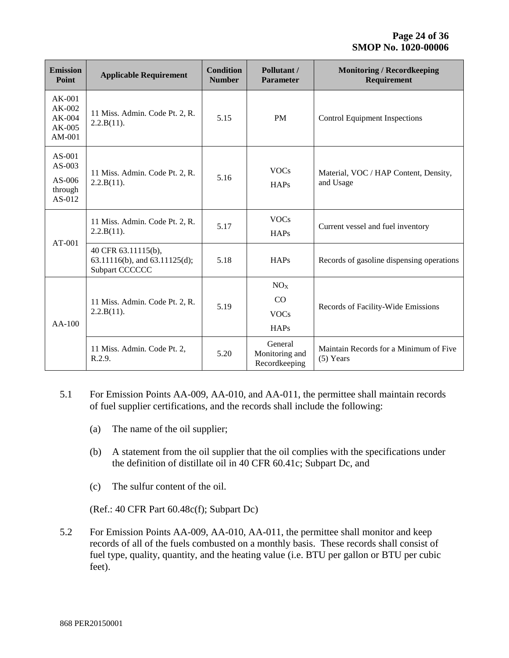| <b>Emission</b><br>Point                              | <b>Applicable Requirement</b>                                                      | <b>Condition</b><br><b>Number</b> | Pollutant /<br><b>Parameter</b>                     | <b>Monitoring / Recordkeeping</b><br><b>Requirement</b> |
|-------------------------------------------------------|------------------------------------------------------------------------------------|-----------------------------------|-----------------------------------------------------|---------------------------------------------------------|
| $AK-001$<br>AK-002<br>AK-004<br>$AK-005$<br>AM-001    | 11 Miss. Admin. Code Pt. 2, R.<br>2.2.B(11).                                       | 5.15                              | <b>PM</b>                                           | <b>Control Equipment Inspections</b>                    |
| $AS-001$<br>$AS-003$<br>AS-006<br>through<br>$AS-012$ | <b>VOCs</b><br>11 Miss. Admin. Code Pt. 2, R.<br>5.16<br>2.2.B(11).<br><b>HAPs</b> |                                   |                                                     | Material, VOC / HAP Content, Density,<br>and Usage      |
|                                                       | 11 Miss. Admin. Code Pt. 2, R.<br>2.2.B(11).                                       | 5.17                              | <b>VOCs</b><br><b>HAPs</b>                          | Current vessel and fuel inventory                       |
| $AT-001$                                              | 40 CFR 63.11115(b),<br>63.11116(b), and 63.11125(d);<br>Subpart CCCCCC             | 5.18                              | <b>HAPs</b>                                         | Records of gasoline dispensing operations               |
| $AA-100$                                              | 11 Miss. Admin. Code Pt. 2, R.<br>2.2.B(11).                                       | 5.19                              | NO <sub>x</sub><br>CO<br><b>VOCs</b><br><b>HAPs</b> | Records of Facility-Wide Emissions                      |
|                                                       | 11 Miss. Admin. Code Pt. 2,<br>R.2.9.                                              | 5.20                              | General<br>Monitoring and<br>Recordkeeping          | Maintain Records for a Minimum of Five<br>$(5)$ Years   |

- 5.1 For Emission Points AA-009, AA-010, and AA-011, the permittee shall maintain records of fuel supplier certifications, and the records shall include the following:
	- (a) The name of the oil supplier;
	- (b) A statement from the oil supplier that the oil complies with the specifications under the definition of distillate oil in 40 CFR 60.41c; Subpart Dc, and
	- (c) The sulfur content of the oil.

(Ref.: 40 CFR Part 60.48c(f); Subpart Dc)

5.2 For Emission Points AA-009, AA-010, AA-011, the permittee shall monitor and keep records of all of the fuels combusted on a monthly basis. These records shall consist of fuel type, quality, quantity, and the heating value (i.e. BTU per gallon or BTU per cubic feet).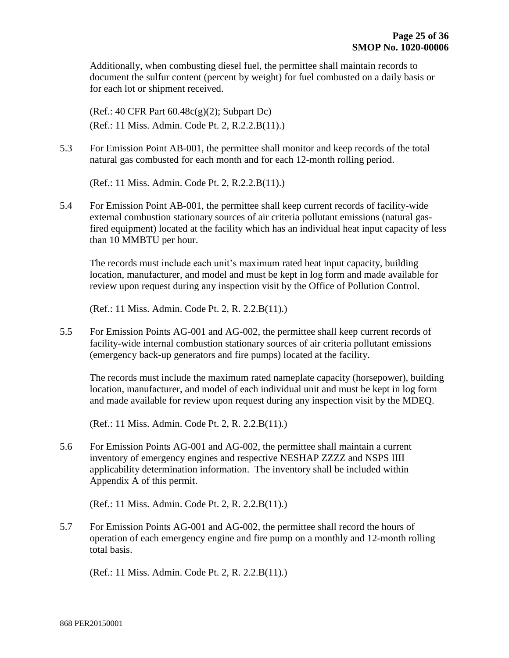Additionally, when combusting diesel fuel, the permittee shall maintain records to document the sulfur content (percent by weight) for fuel combusted on a daily basis or for each lot or shipment received.

(Ref.: 40 CFR Part 60.48c(g)(2); Subpart Dc) (Ref.: 11 Miss. Admin. Code Pt. 2, R.2.2.B(11).)

5.3 For Emission Point AB-001, the permittee shall monitor and keep records of the total natural gas combusted for each month and for each 12-month rolling period.

(Ref.: 11 Miss. Admin. Code Pt. 2, R.2.2.B(11).)

5.4 For Emission Point AB-001, the permittee shall keep current records of facility-wide external combustion stationary sources of air criteria pollutant emissions (natural gasfired equipment) located at the facility which has an individual heat input capacity of less than 10 MMBTU per hour.

The records must include each unit's maximum rated heat input capacity, building location, manufacturer, and model and must be kept in log form and made available for review upon request during any inspection visit by the Office of Pollution Control.

(Ref.: 11 Miss. Admin. Code Pt. 2, R. 2.2.B(11).)

5.5 For Emission Points AG-001 and AG-002, the permittee shall keep current records of facility-wide internal combustion stationary sources of air criteria pollutant emissions (emergency back-up generators and fire pumps) located at the facility.

The records must include the maximum rated nameplate capacity (horsepower), building location, manufacturer, and model of each individual unit and must be kept in log form and made available for review upon request during any inspection visit by the MDEQ.

(Ref.: 11 Miss. Admin. Code Pt. 2, R. 2.2.B(11).)

5.6 For Emission Points AG-001 and AG-002, the permittee shall maintain a current inventory of emergency engines and respective NESHAP ZZZZ and NSPS IIII applicability determination information. The inventory shall be included within Appendix A of this permit.

(Ref.: 11 Miss. Admin. Code Pt. 2, R. 2.2.B(11).)

5.7 For Emission Points AG-001 and AG-002, the permittee shall record the hours of operation of each emergency engine and fire pump on a monthly and 12-month rolling total basis.

(Ref.: 11 Miss. Admin. Code Pt. 2, R. 2.2.B(11).)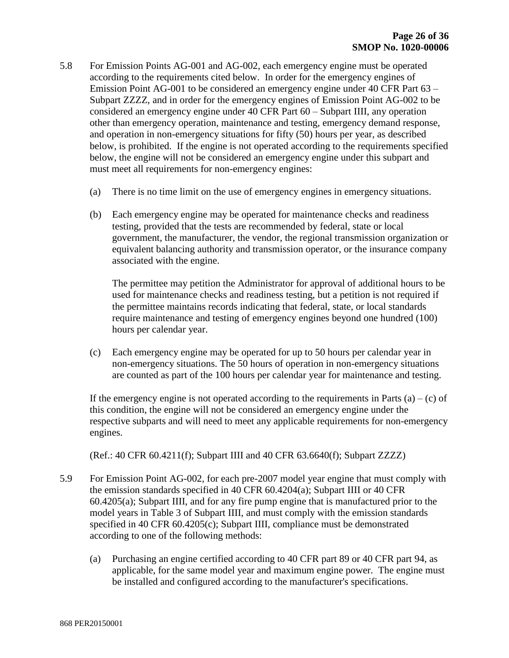- 5.8 For Emission Points AG-001 and AG-002, each emergency engine must be operated according to the requirements cited below. In order for the emergency engines of Emission Point AG-001 to be considered an emergency engine under 40 CFR Part 63 – Subpart ZZZZ, and in order for the emergency engines of Emission Point AG-002 to be considered an emergency engine under 40 CFR Part 60 – Subpart IIII, any operation other than emergency operation, maintenance and testing, emergency demand response, and operation in non-emergency situations for fifty (50) hours per year, as described below, is prohibited. If the engine is not operated according to the requirements specified below, the engine will not be considered an emergency engine under this subpart and must meet all requirements for non-emergency engines:
	- (a) There is no time limit on the use of emergency engines in emergency situations.
	- (b) Each emergency engine may be operated for maintenance checks and readiness testing, provided that the tests are recommended by federal, state or local government, the manufacturer, the vendor, the regional transmission organization or equivalent balancing authority and transmission operator, or the insurance company associated with the engine.

The permittee may petition the Administrator for approval of additional hours to be used for maintenance checks and readiness testing, but a petition is not required if the permittee maintains records indicating that federal, state, or local standards require maintenance and testing of emergency engines beyond one hundred (100) hours per calendar year.

(c) Each emergency engine may be operated for up to 50 hours per calendar year in non-emergency situations. The 50 hours of operation in non-emergency situations are counted as part of the 100 hours per calendar year for maintenance and testing.

If the emergency engine is not operated according to the requirements in Parts  $(a) - (c)$  of this condition, the engine will not be considered an emergency engine under the respective subparts and will need to meet any applicable requirements for non-emergency engines.

(Ref.: 40 CFR 60.4211(f); Subpart IIII and 40 CFR 63.6640(f); Subpart ZZZZ)

- 5.9 For Emission Point AG-002, for each pre-2007 model year engine that must comply with the emission standards specified in 40 CFR 60.4204(a); Subpart IIII or 40 CFR 60.4205(a); Subpart IIII, and for any fire pump engine that is manufactured prior to the model years in Table 3 of Subpart IIII, and must comply with the emission standards specified in 40 CFR 60.4205(c); Subpart IIII, compliance must be demonstrated according to one of the following methods:
	- (a) Purchasing an engine certified according to 40 CFR part 89 or 40 CFR part 94, as applicable, for the same model year and maximum engine power. The engine must be installed and configured according to the manufacturer's specifications.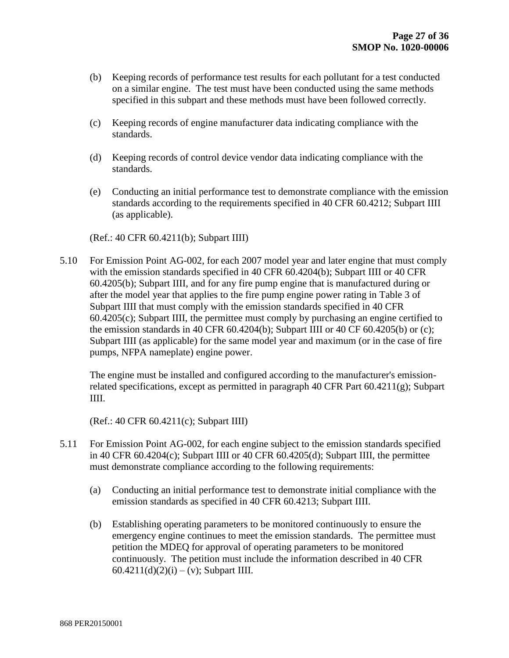- (b) Keeping records of performance test results for each pollutant for a test conducted on a similar engine. The test must have been conducted using the same methods specified in this subpart and these methods must have been followed correctly.
- (c) Keeping records of engine manufacturer data indicating compliance with the standards.
- (d) Keeping records of control device vendor data indicating compliance with the standards.
- (e) Conducting an initial performance test to demonstrate compliance with the emission standards according to the requirements specified in 40 CFR 60.4212; Subpart IIII (as applicable).

(Ref.: 40 CFR 60.4211(b); Subpart IIII)

5.10 For Emission Point AG-002, for each 2007 model year and later engine that must comply with the emission standards specified in 40 CFR 60.4204(b); Subpart IIII or 40 CFR 60.4205(b); Subpart IIII, and for any fire pump engine that is manufactured during or after the model year that applies to the fire pump engine power rating in Table 3 of Subpart IIII that must comply with the emission standards specified in 40 CFR 60.4205(c); Subpart IIII, the permittee must comply by purchasing an engine certified to the emission standards in 40 CFR  $60.4204(b)$ ; Subpart IIII or 40 CF  $60.4205(b)$  or (c); Subpart IIII (as applicable) for the same model year and maximum (or in the case of fire pumps, NFPA nameplate) engine power.

The engine must be installed and configured according to the manufacturer's emissionrelated specifications, except as permitted in paragraph 40 CFR Part 60.4211(g); Subpart IIII.

(Ref.: 40 CFR 60.4211(c); Subpart IIII)

- 5.11 For Emission Point AG-002, for each engine subject to the emission standards specified in 40 CFR 60.4204(c); Subpart IIII or 40 CFR 60.4205(d); Subpart IIII, the permittee must demonstrate compliance according to the following requirements:
	- (a) Conducting an initial performance test to demonstrate initial compliance with the emission standards as specified in 40 CFR 60.4213; Subpart IIII.
	- (b) Establishing operating parameters to be monitored continuously to ensure the emergency engine continues to meet the emission standards. The permittee must petition the MDEQ for approval of operating parameters to be monitored continuously. The petition must include the information described in 40 CFR 60.4211(d)(2)(i) – (v); Subpart IIII.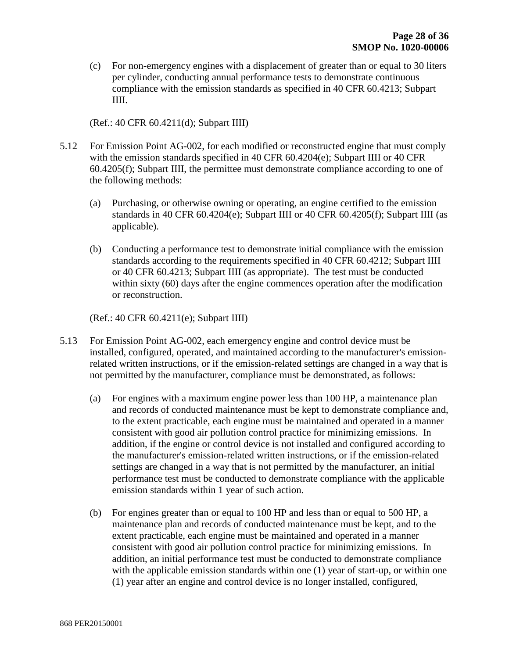(c) For non-emergency engines with a displacement of greater than or equal to 30 liters per cylinder, conducting annual performance tests to demonstrate continuous compliance with the emission standards as specified in 40 CFR 60.4213; Subpart IIII.

(Ref.: 40 CFR 60.4211(d); Subpart IIII)

- 5.12 For Emission Point AG-002, for each modified or reconstructed engine that must comply with the emission standards specified in 40 CFR 60.4204(e); Subpart IIII or 40 CFR 60.4205(f); Subpart IIII, the permittee must demonstrate compliance according to one of the following methods:
	- (a) Purchasing, or otherwise owning or operating, an engine certified to the emission standards in 40 CFR 60.4204(e); Subpart IIII or 40 CFR 60.4205(f); Subpart IIII (as applicable).
	- (b) Conducting a performance test to demonstrate initial compliance with the emission standards according to the requirements specified in 40 CFR 60.4212; Subpart IIII or 40 CFR 60.4213; Subpart IIII (as appropriate). The test must be conducted within sixty (60) days after the engine commences operation after the modification or reconstruction.

(Ref.: 40 CFR 60.4211(e); Subpart IIII)

- 5.13 For Emission Point AG-002, each emergency engine and control device must be installed, configured, operated, and maintained according to the manufacturer's emissionrelated written instructions, or if the emission-related settings are changed in a way that is not permitted by the manufacturer, compliance must be demonstrated, as follows:
	- (a) For engines with a maximum engine power less than 100 HP, a maintenance plan and records of conducted maintenance must be kept to demonstrate compliance and, to the extent practicable, each engine must be maintained and operated in a manner consistent with good air pollution control practice for minimizing emissions. In addition, if the engine or control device is not installed and configured according to the manufacturer's emission-related written instructions, or if the emission-related settings are changed in a way that is not permitted by the manufacturer, an initial performance test must be conducted to demonstrate compliance with the applicable emission standards within 1 year of such action.
	- (b) For engines greater than or equal to 100 HP and less than or equal to 500 HP, a maintenance plan and records of conducted maintenance must be kept, and to the extent practicable, each engine must be maintained and operated in a manner consistent with good air pollution control practice for minimizing emissions. In addition, an initial performance test must be conducted to demonstrate compliance with the applicable emission standards within one (1) year of start-up, or within one (1) year after an engine and control device is no longer installed, configured,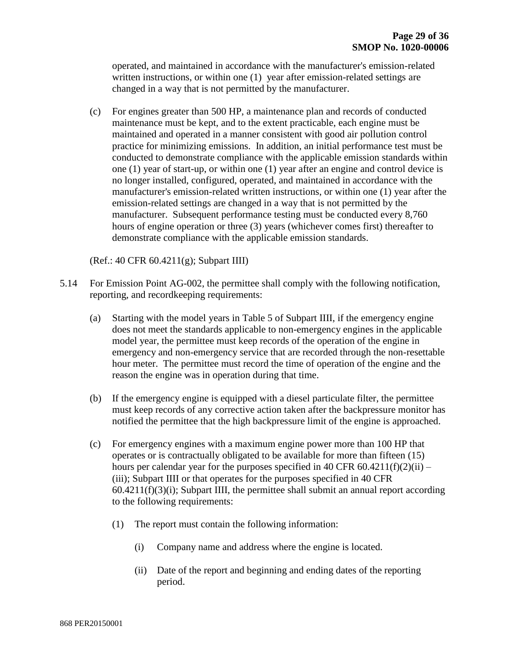operated, and maintained in accordance with the manufacturer's emission-related written instructions, or within one (1) year after emission-related settings are changed in a way that is not permitted by the manufacturer.

(c) For engines greater than 500 HP, a maintenance plan and records of conducted maintenance must be kept, and to the extent practicable, each engine must be maintained and operated in a manner consistent with good air pollution control practice for minimizing emissions. In addition, an initial performance test must be conducted to demonstrate compliance with the applicable emission standards within one (1) year of start-up, or within one (1) year after an engine and control device is no longer installed, configured, operated, and maintained in accordance with the manufacturer's emission-related written instructions, or within one (1) year after the emission-related settings are changed in a way that is not permitted by the manufacturer. Subsequent performance testing must be conducted every 8,760 hours of engine operation or three (3) years (whichever comes first) thereafter to demonstrate compliance with the applicable emission standards.

(Ref.: 40 CFR 60.4211(g); Subpart IIII)

- 5.14 For Emission Point AG-002, the permittee shall comply with the following notification, reporting, and recordkeeping requirements:
	- (a) Starting with the model years in Table 5 of Subpart IIII, if the emergency engine does not meet the standards applicable to non-emergency engines in the applicable model year, the permittee must keep records of the operation of the engine in emergency and non-emergency service that are recorded through the non-resettable hour meter. The permittee must record the time of operation of the engine and the reason the engine was in operation during that time.
	- (b) If the emergency engine is equipped with a diesel particulate filter, the permittee must keep records of any corrective action taken after the backpressure monitor has notified the permittee that the high backpressure limit of the engine is approached.
	- (c) For emergency engines with a maximum engine power more than 100 HP that operates or is contractually obligated to be available for more than fifteen (15) hours per calendar year for the purposes specified in 40 CFR  $60.4211(f)(2)(ii)$  – (iii); Subpart IIII or that operates for the purposes specified in 40 CFR  $60.4211(f)(3)(i)$ ; Subpart IIII, the permittee shall submit an annual report according to the following requirements:
		- (1) The report must contain the following information:
			- (i) Company name and address where the engine is located.
			- (ii) Date of the report and beginning and ending dates of the reporting period.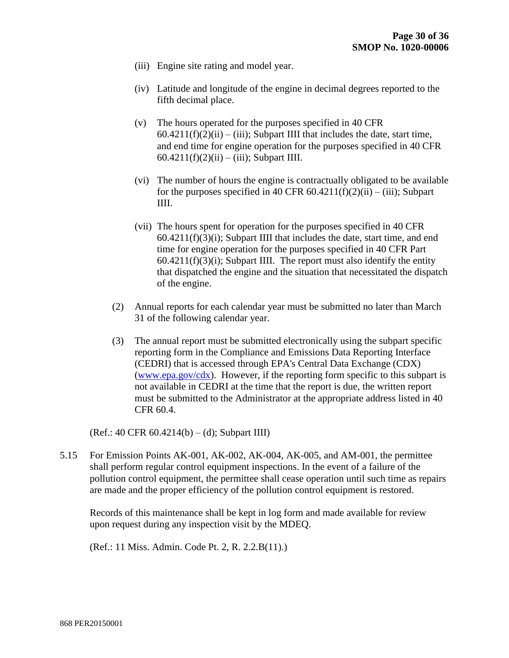- (iii) Engine site rating and model year.
- (iv) Latitude and longitude of the engine in decimal degrees reported to the fifth decimal place.
- (v) The hours operated for the purposes specified in 40 CFR  $60.4211(f)(2)(ii) - (iii)$ ; Subpart IIII that includes the date, start time, and end time for engine operation for the purposes specified in 40 CFR 60.4211(f)(2)(ii) – (iii); Subpart IIII.
- (vi) The number of hours the engine is contractually obligated to be available for the purposes specified in 40 CFR  $60.4211(f)(2)(ii) - (iii)$ ; Subpart IIII.
- (vii) The hours spent for operation for the purposes specified in 40 CFR 60.4211(f)(3)(i); Subpart IIII that includes the date, start time, and end time for engine operation for the purposes specified in 40 CFR Part  $60.4211(f)(3)(i)$ ; Subpart IIII. The report must also identify the entity that dispatched the engine and the situation that necessitated the dispatch of the engine.
- (2) Annual reports for each calendar year must be submitted no later than March 31 of the following calendar year.
- (3) The annual report must be submitted electronically using the subpart specific reporting form in the Compliance and Emissions Data Reporting Interface (CEDRI) that is accessed through EPA's Central Data Exchange (CDX) [\(www.epa.gov/cdx\)](http://www.epa.gov/cdx). However, if the reporting form specific to this subpart is not available in CEDRI at the time that the report is due, the written report must be submitted to the Administrator at the appropriate address listed in 40 CFR 60.4.

(Ref.: 40 CFR 60.4214(b) – (d); Subpart IIII)

5.15 For Emission Points AK-001, AK-002, AK-004, AK-005, and AM-001, the permittee shall perform regular control equipment inspections. In the event of a failure of the pollution control equipment, the permittee shall cease operation until such time as repairs are made and the proper efficiency of the pollution control equipment is restored.

Records of this maintenance shall be kept in log form and made available for review upon request during any inspection visit by the MDEQ.

(Ref.: 11 Miss. Admin. Code Pt. 2, R. 2.2.B(11).)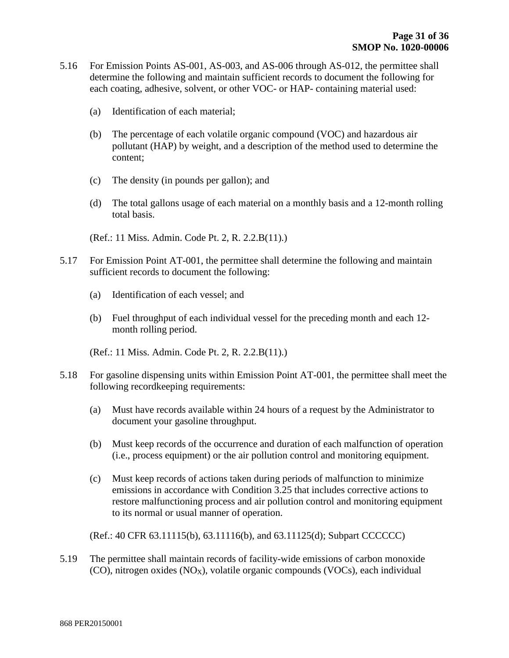- 5.16 For Emission Points AS-001, AS-003, and AS-006 through AS-012, the permittee shall determine the following and maintain sufficient records to document the following for each coating, adhesive, solvent, or other VOC- or HAP- containing material used:
	- (a) Identification of each material;
	- (b) The percentage of each volatile organic compound (VOC) and hazardous air pollutant (HAP) by weight, and a description of the method used to determine the content;
	- (c) The density (in pounds per gallon); and
	- (d) The total gallons usage of each material on a monthly basis and a 12-month rolling total basis.
	- (Ref.: 11 Miss. Admin. Code Pt. 2, R. 2.2.B(11).)
- 5.17 For Emission Point AT-001, the permittee shall determine the following and maintain sufficient records to document the following:
	- (a) Identification of each vessel; and
	- (b) Fuel throughput of each individual vessel for the preceding month and each 12 month rolling period.

(Ref.: 11 Miss. Admin. Code Pt. 2, R. 2.2.B(11).)

- 5.18 For gasoline dispensing units within Emission Point AT-001, the permittee shall meet the following recordkeeping requirements:
	- (a) Must have records available within 24 hours of a request by the Administrator to document your gasoline throughput.
	- (b) Must keep records of the occurrence and duration of each malfunction of operation (i.e., process equipment) or the air pollution control and monitoring equipment.
	- (c) Must keep records of actions taken during periods of malfunction to minimize emissions in accordance with Condition 3.25 that includes corrective actions to restore malfunctioning process and air pollution control and monitoring equipment to its normal or usual manner of operation.

(Ref.: 40 CFR 63.11115(b), 63.11116(b), and 63.11125(d); Subpart CCCCCC)

5.19 The permittee shall maintain records of facility-wide emissions of carbon monoxide  $(CO)$ , nitrogen oxides  $(NO<sub>X</sub>)$ , volatile organic compounds  $(VOCs)$ , each individual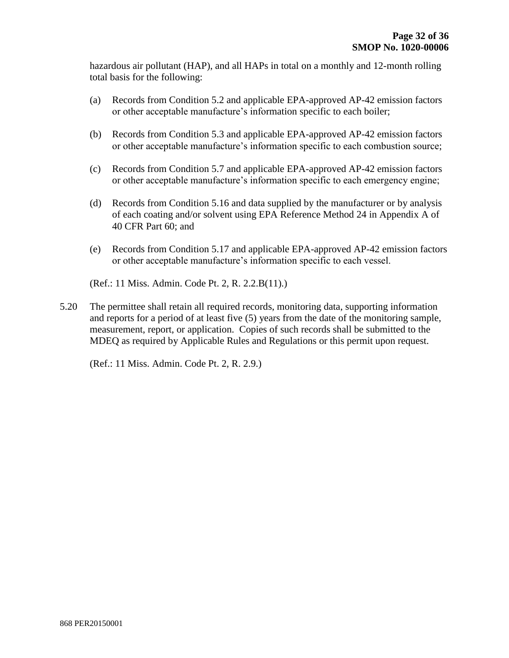hazardous air pollutant (HAP), and all HAPs in total on a monthly and 12-month rolling total basis for the following:

- (a) Records from Condition 5.2 and applicable EPA-approved AP-42 emission factors or other acceptable manufacture's information specific to each boiler;
- (b) Records from Condition 5.3 and applicable EPA-approved AP-42 emission factors or other acceptable manufacture's information specific to each combustion source;
- (c) Records from Condition 5.7 and applicable EPA-approved AP-42 emission factors or other acceptable manufacture's information specific to each emergency engine;
- (d) Records from Condition 5.16 and data supplied by the manufacturer or by analysis of each coating and/or solvent using EPA Reference Method 24 in Appendix A of 40 CFR Part 60; and
- (e) Records from Condition 5.17 and applicable EPA-approved AP-42 emission factors or other acceptable manufacture's information specific to each vessel.
- (Ref.: 11 Miss. Admin. Code Pt. 2, R. 2.2.B(11).)
- 5.20 The permittee shall retain all required records, monitoring data, supporting information and reports for a period of at least five (5) years from the date of the monitoring sample, measurement, report, or application. Copies of such records shall be submitted to the MDEQ as required by Applicable Rules and Regulations or this permit upon request.

(Ref.: 11 Miss. Admin. Code Pt. 2, R. 2.9.)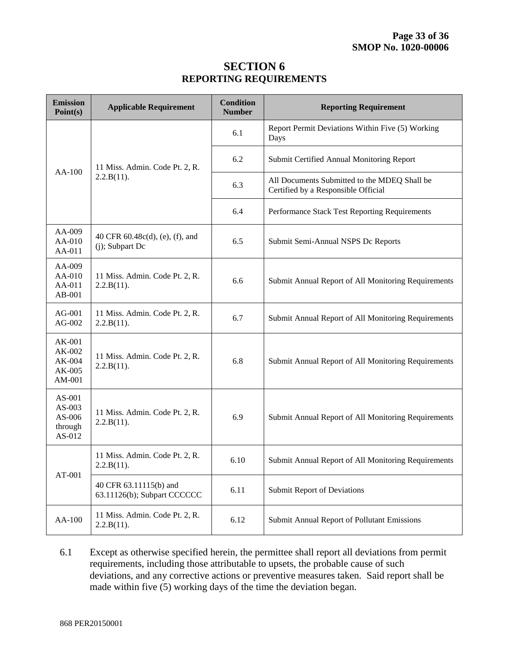#### **SECTION 6 REPORTING REQUIREMENTS**

| <b>Emission</b><br>Point(s)                                                                                                                                                                                           | <b>Applicable Requirement</b>                         | <b>Condition</b><br><b>Number</b> | <b>Reporting Requirement</b>                                                        |
|-----------------------------------------------------------------------------------------------------------------------------------------------------------------------------------------------------------------------|-------------------------------------------------------|-----------------------------------|-------------------------------------------------------------------------------------|
|                                                                                                                                                                                                                       |                                                       | 6.1                               | Report Permit Deviations Within Five (5) Working<br>Days                            |
| AA-100<br>AA-009<br>AA-010<br>AA-011<br>AA-009<br>AA-010<br>AA-011<br>AB-001<br>$AG-001$<br>$AG-002$<br>AK-001<br>AK-002<br>AK-004<br>AK-005<br>AM-001<br>AS-001<br>$AS-003$<br>AS-006<br>through<br>AS-012<br>AT-001 | 11 Miss. Admin. Code Pt. 2, R.                        | 6.2                               | Submit Certified Annual Monitoring Report                                           |
|                                                                                                                                                                                                                       | 2.2.B(11).                                            | 6.3                               | All Documents Submitted to the MDEQ Shall be<br>Certified by a Responsible Official |
|                                                                                                                                                                                                                       |                                                       | 6.4                               | Performance Stack Test Reporting Requirements                                       |
|                                                                                                                                                                                                                       | 40 CFR 60.48c(d), (e), (f), and<br>$(j)$ ; Subpart Dc | 6.5                               | Submit Semi-Annual NSPS Dc Reports                                                  |
|                                                                                                                                                                                                                       | 11 Miss. Admin. Code Pt. 2, R.<br>2.2.B(11).          | 6.6                               | Submit Annual Report of All Monitoring Requirements                                 |
|                                                                                                                                                                                                                       | 11 Miss. Admin. Code Pt. 2, R.<br>2.2.B(11).          | 6.7                               | Submit Annual Report of All Monitoring Requirements                                 |
|                                                                                                                                                                                                                       | 11 Miss. Admin. Code Pt. 2, R.<br>2.2.B(11).          | 6.8                               | Submit Annual Report of All Monitoring Requirements                                 |
|                                                                                                                                                                                                                       | 11 Miss. Admin. Code Pt. 2, R.<br>2.2.B(11).          | 6.9                               | Submit Annual Report of All Monitoring Requirements                                 |
|                                                                                                                                                                                                                       | 11 Miss. Admin. Code Pt. 2, R.<br>2.2.B(11).          | 6.10                              | Submit Annual Report of All Monitoring Requirements                                 |
|                                                                                                                                                                                                                       | 40 CFR 63.11115(b) and<br>63.11126(b); Subpart CCCCCC | 6.11                              | <b>Submit Report of Deviations</b>                                                  |
| AA-100                                                                                                                                                                                                                | 11 Miss. Admin. Code Pt. 2, R.<br>2.2.B(11).          | 6.12                              | Submit Annual Report of Pollutant Emissions                                         |

6.1 Except as otherwise specified herein, the permittee shall report all deviations from permit requirements, including those attributable to upsets, the probable cause of such deviations, and any corrective actions or preventive measures taken. Said report shall be made within five (5) working days of the time the deviation began.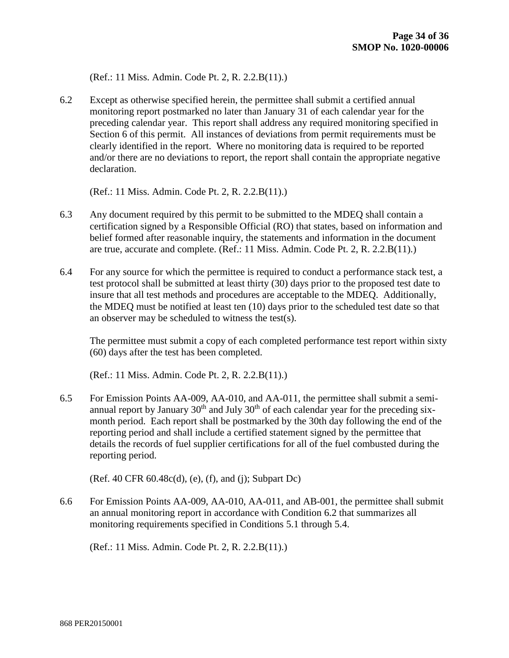(Ref.: 11 Miss. Admin. Code Pt. 2, R. 2.2.B(11).)

6.2 Except as otherwise specified herein, the permittee shall submit a certified annual monitoring report postmarked no later than January 31 of each calendar year for the preceding calendar year. This report shall address any required monitoring specified in Section 6 of this permit. All instances of deviations from permit requirements must be clearly identified in the report. Where no monitoring data is required to be reported and/or there are no deviations to report, the report shall contain the appropriate negative declaration.

(Ref.: 11 Miss. Admin. Code Pt. 2, R. 2.2.B(11).)

- 6.3 Any document required by this permit to be submitted to the MDEQ shall contain a certification signed by a Responsible Official (RO) that states, based on information and belief formed after reasonable inquiry, the statements and information in the document are true, accurate and complete. (Ref.: 11 Miss. Admin. Code Pt. 2, R. 2.2.B(11).)
- 6.4 For any source for which the permittee is required to conduct a performance stack test, a test protocol shall be submitted at least thirty (30) days prior to the proposed test date to insure that all test methods and procedures are acceptable to the MDEQ. Additionally, the MDEQ must be notified at least ten (10) days prior to the scheduled test date so that an observer may be scheduled to witness the test(s).

The permittee must submit a copy of each completed performance test report within sixty (60) days after the test has been completed.

(Ref.: 11 Miss. Admin. Code Pt. 2, R. 2.2.B(11).)

6.5 For Emission Points AA-009, AA-010, and AA-011, the permittee shall submit a semiannual report by January  $30<sup>th</sup>$  and July  $30<sup>th</sup>$  of each calendar year for the preceding sixmonth period. Each report shall be postmarked by the 30th day following the end of the reporting period and shall include a certified statement signed by the permittee that details the records of fuel supplier certifications for all of the fuel combusted during the reporting period.

(Ref. 40 CFR 60.48c(d), (e), (f), and (j); Subpart Dc)

6.6 For Emission Points AA-009, AA-010, AA-011, and AB-001, the permittee shall submit an annual monitoring report in accordance with Condition 6.2 that summarizes all monitoring requirements specified in Conditions 5.1 through 5.4.

(Ref.: 11 Miss. Admin. Code Pt. 2, R. 2.2.B(11).)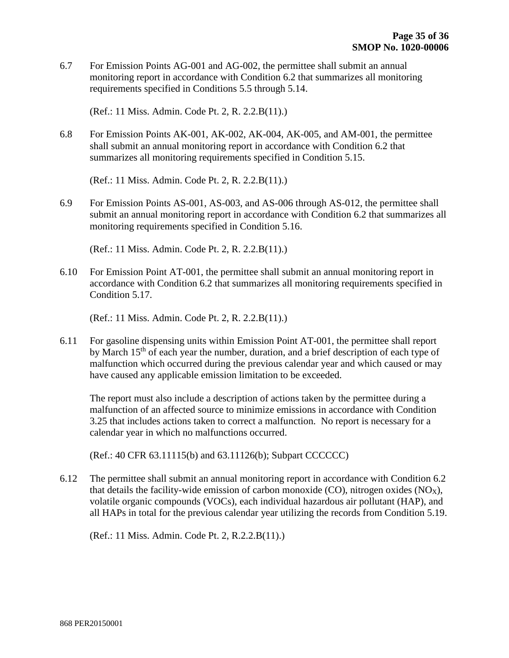6.7 For Emission Points AG-001 and AG-002, the permittee shall submit an annual monitoring report in accordance with Condition 6.2 that summarizes all monitoring requirements specified in Conditions 5.5 through 5.14.

(Ref.: 11 Miss. Admin. Code Pt. 2, R. 2.2.B(11).)

6.8 For Emission Points AK-001, AK-002, AK-004, AK-005, and AM-001, the permittee shall submit an annual monitoring report in accordance with Condition 6.2 that summarizes all monitoring requirements specified in Condition 5.15.

(Ref.: 11 Miss. Admin. Code Pt. 2, R. 2.2.B(11).)

6.9 For Emission Points AS-001, AS-003, and AS-006 through AS-012, the permittee shall submit an annual monitoring report in accordance with Condition 6.2 that summarizes all monitoring requirements specified in Condition 5.16.

(Ref.: 11 Miss. Admin. Code Pt. 2, R. 2.2.B(11).)

6.10 For Emission Point AT-001, the permittee shall submit an annual monitoring report in accordance with Condition 6.2 that summarizes all monitoring requirements specified in Condition 5.17.

(Ref.: 11 Miss. Admin. Code Pt. 2, R. 2.2.B(11).)

6.11 For gasoline dispensing units within Emission Point AT-001, the permittee shall report by March 15<sup>th</sup> of each year the number, duration, and a brief description of each type of malfunction which occurred during the previous calendar year and which caused or may have caused any applicable emission limitation to be exceeded.

The report must also include a description of actions taken by the permittee during a malfunction of an affected source to minimize emissions in accordance with Condition 3.25 that includes actions taken to correct a malfunction. No report is necessary for a calendar year in which no malfunctions occurred.

(Ref.: 40 CFR 63.11115(b) and 63.11126(b); Subpart CCCCCC)

6.12 The permittee shall submit an annual monitoring report in accordance with Condition 6.2 that details the facility-wide emission of carbon monoxide  $(CO)$ , nitrogen oxides  $(NO_X)$ , volatile organic compounds (VOCs), each individual hazardous air pollutant (HAP), and all HAPs in total for the previous calendar year utilizing the records from Condition 5.19.

(Ref.: 11 Miss. Admin. Code Pt. 2, R.2.2.B(11).)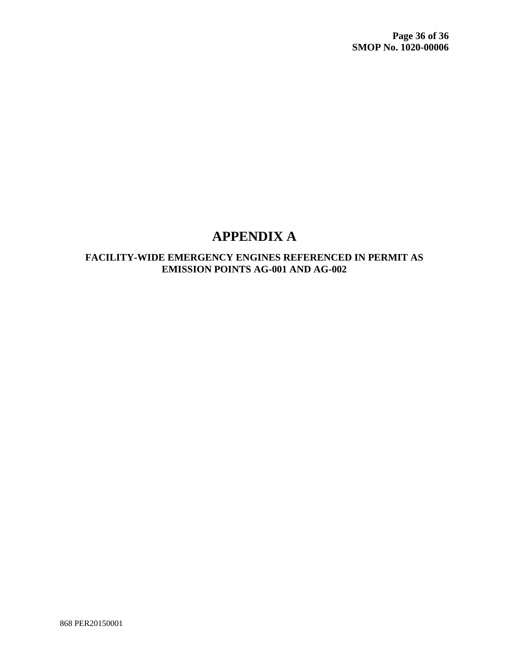# **APPENDIX A**

#### **FACILITY-WIDE EMERGENCY ENGINES REFERENCED IN PERMIT AS EMISSION POINTS AG-001 AND AG-002**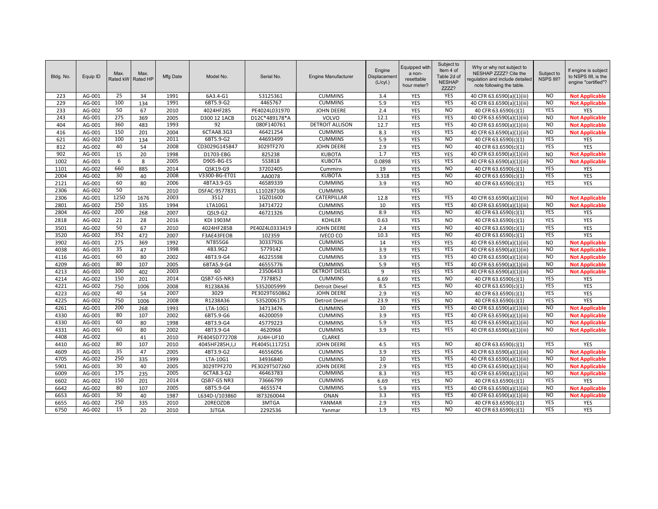| Bldg. No. | Equip ID | Max.<br>Rated kW | Max.<br>Rated HP | Mfg Date | Model No.      | Serial No.     | <b>Engine Manufacturer</b> | Engine<br>Displacement<br>(L/cyl.) | Equipped with<br>a non-<br>resettable<br>hour meter? | Subject to<br>Item 4 of<br>Table 2d of<br><b>NESHAP</b><br>ZZZZ? | Why or why not subject to<br>NESHAP ZZZZ? Cite the<br>equlation and include detailed<br>note following the table. | Subject to<br><b>NSPS IIII?</b> | If engine is subject<br>to NSPS IIII, is the<br>engine "certified"? |
|-----------|----------|------------------|------------------|----------|----------------|----------------|----------------------------|------------------------------------|------------------------------------------------------|------------------------------------------------------------------|-------------------------------------------------------------------------------------------------------------------|---------------------------------|---------------------------------------------------------------------|
| 223       | AG-001   | 25               | 34               | 1991     | 6A3.4-G1       | 53125361       | <b>CUMMINS</b>             | 3.4                                | YES                                                  | <b>YES</b>                                                       | 40 CFR 63.6590(a)(1)(iii)                                                                                         | <b>NO</b>                       | <b>Not Applicable</b>                                               |
| 229       | AG-001   | 100              | 134              | 1991     | 6BT5.9-G2      | 4465767        | <b>CUMMINS</b>             | 5.9                                | YES                                                  | <b>YES</b>                                                       | 40 CFR 63.6590(a)(1)(iii)                                                                                         | <b>NO</b>                       | <b>Not Applicable</b>                                               |
| 233       | AG-002   | 50               | 67               | 2010     | 4024HF285      | PE4024L031970  | <b>JOHN DEERE</b>          | 2.4                                | <b>YES</b>                                           | N <sub>O</sub>                                                   | 40 CFR 63.6590(c)(1)                                                                                              | <b>YES</b>                      | YES                                                                 |
| 243       | AG-001   | 275              | 369              | 2005     | D300 12 1ACB   | D12C*489178*A  | VOLVO                      | 12.1                               | <b>YES</b>                                           | <b>YES</b>                                                       | 40 CFR 63.6590(a)(1)(iii)                                                                                         | N <sub>O</sub>                  | <b>Not Applicable</b>                                               |
| 404       | AG-001   | 360              | 483              | 1993     | 92             | 080F140761     | <b>DETROIT ALLISON</b>     | 12.7                               | <b>YES</b>                                           | <b>YES</b>                                                       | 40 CFR 63.6590(a)(1)(iii)                                                                                         | N <sub>O</sub>                  | <b>Not Applicable</b>                                               |
| 416       | AG-001   | 150              | 201              | 2004     | 6CTAA8.3G3     | 46421254       | <b>CUMMINS</b>             | 8.3                                | <b>YES</b>                                           | <b>YES</b>                                                       | 40 CFR 63.6590(a)(1)(iii)                                                                                         | <b>NO</b>                       | <b>Not Applicable</b>                                               |
| 621       | AG-002   | 100              | 134              | 2011     | 6BT5.9-G2      | 44693499       | <b>CUMMINS</b>             | 5.9                                | <b>YES</b>                                           | N <sub>O</sub>                                                   | 40 CFR 63.6590(c)(1)                                                                                              | <b>YES</b>                      | YES                                                                 |
| 812       | AG-002   | 40               | 54               | 2008     | CD3029G145847  | 3029TF270      | <b>JOHN DEERE</b>          | 2.9                                | YES                                                  | N <sub>O</sub>                                                   | 40 CFR 63.6590(c)(1)                                                                                              | <b>YES</b>                      | <b>YES</b>                                                          |
| 902       | AG-001   | 15               | 20               | 1998     | D1703-EBG      | 825238         | <b>KUBOTA</b>              | 1.7                                | <b>YES</b>                                           | <b>YES</b>                                                       | 40 CFR 63.6590(a)(1)(iii)                                                                                         | <b>NO</b>                       | <b>Not Applicable</b>                                               |
| 1002      | AG-001   | 6                | 8                | 2005     | D905-BG-ES     | 553818         | <b>KUBOTA</b>              | 0.0898                             | <b>YES</b>                                           | <b>YES</b>                                                       | 40 CFR 63.6590(a)(1)(iii)                                                                                         | N <sub>O</sub>                  | <b>Not Applicable</b>                                               |
| 1101      | AG-002   | 660              | 885              | 2014     | QSK19-G9       | 37202405       | Cummins                    | 19                                 | <b>YES</b>                                           | <b>NO</b>                                                        | 40 CFR 63.6590(c)(1)                                                                                              | YES                             | YES                                                                 |
| 2004      | AG-002   | 30               | 40               | 2008     | V3300-BG-ET01  | AA0078         | <b>KUBOTA</b>              | 3.318                              | <b>YES</b>                                           | N <sub>O</sub>                                                   | 40 CFR 63.6590(c)(1)                                                                                              | <b>YES</b>                      | YES                                                                 |
| 2121      | AG-001   | 60               | 80               | 2006     | 4BTA3.9-G5     | 46589339       | <b>CUMMINS</b>             | 3.9                                | <b>YES</b>                                           | N <sub>O</sub>                                                   | 40 CFR 63.6590(c)(1)                                                                                              | <b>YES</b>                      | YES                                                                 |
| 2306      | AG-002   | 50               |                  | 2010     | DSFAC-9577831  | L110287106     | <b>CUMMINS</b>             |                                    | <b>YES</b>                                           |                                                                  |                                                                                                                   |                                 |                                                                     |
| 2306      | AG-001   | 1250             | 1676             | 2003     | 3512           | 1GZ01600       | CATERPILLAR                | 12.8                               | YES                                                  | <b>YES</b>                                                       | 40 CFR 63.6590(a)(1)(iii)                                                                                         | <b>NO</b>                       | <b>Not Applicable</b>                                               |
| 2801      | AG-002   | 250              | 335              | 1994     | LTA10G1        | 34714722       | <b>CUMMINS</b>             | 10                                 | <b>YES</b>                                           | <b>YES</b>                                                       | 40 CFR 63.6590(a)(1)(iii)                                                                                         | $\overline{N}$                  | <b>Not Applicable</b>                                               |
| 2804      | AG-002   | 200              | 268              | 2007     | QSL9-G2        | 46721326       | <b>CUMMINS</b>             | 8.9                                | <b>YES</b>                                           | N <sub>O</sub>                                                   | 40 CFR 63.6590(c)(1)                                                                                              | <b>YES</b>                      | YES                                                                 |
| 2818      | AG-002   | 21               | 28               | 2016     | KDI 1903M      |                | <b>KOHLER</b>              | 0.63                               | YES                                                  | N <sub>O</sub>                                                   | 40 CFR 63.6590(c)(1)                                                                                              | YES                             | YES                                                                 |
| 3501      | AG-002   | 50               | 67               | 2010     | 4024HF285B     | PE40Z4L0333419 | <b>JOHN DEERE</b>          | 2.4                                | YES                                                  | <b>NO</b>                                                        | 40 CFR 63.6590(c)(1)                                                                                              | YES                             | YES                                                                 |
| 3520      | AG-002   | 352              | 472              | 2007     | F3AE43FEOB     | 102359         | <b>IVECO CO</b>            | 10.3                               | <b>YES</b>                                           | N <sub>O</sub>                                                   | 40 CFR 63.6590(c)(1)                                                                                              | <b>YES</b>                      | <b>YES</b>                                                          |
| 3902      | AG-001   | 275              | 369              | 1992     | NT855G6        | 30337926       | <b>CUMMINS</b>             | 14                                 | <b>YES</b>                                           | <b>YES</b>                                                       | 40 CFR 63.6590(a)(1)(iii)                                                                                         | <b>NO</b>                       | <b>Not Applicable</b>                                               |
| 4038      | AG-001   | 35               | 47               | 1998     | 4B3.9G2        | 5779142        | <b>CUMMINS</b>             | 3.9                                | <b>YES</b>                                           | <b>YES</b>                                                       | 40 CFR 63.6590(a)(1)(iii)                                                                                         | <b>NO</b>                       | <b>Not Applicable</b>                                               |
| 4116      | AG-001   | 60               | 80               | 2002     | 4BT3.9-G4      | 46225598       | <b>CUMMINS</b>             | 3.9                                | YES                                                  | YES                                                              | 40 CFR 63.6590(a)(1)(iii)                                                                                         | <b>NO</b>                       | <b>Not Applicable</b>                                               |
| 4209      | AG-001   | 80               | 107              | 2005     | 6BTA5.9-G4     | 46555776       | <b>CUMMINS</b>             | 5.9                                | <b>YES</b>                                           | <b>YES</b>                                                       | 40 CFR 63.6590(a)(1)(iii)                                                                                         | $\overline{N}$                  | <b>Not Applicable</b>                                               |
| 4213      | AG-001   | 300              | 402              | 2003     | 60             | 23506433       | <b>DETROIT DIESEL</b>      | $\overline{9}$                     | <b>YES</b>                                           | <b>YES</b>                                                       | 40 CFR 63.6590(a)(1)(iii)                                                                                         | <b>NO</b>                       | <b>Not Applicable</b>                                               |
| 4214      | AG-002   | 150              | 201              | 2014     | QSB7-G5-NR3    | 7378852        | <b>CUMMINS</b>             | 6.69                               | YES                                                  | N <sub>O</sub>                                                   | 40 CFR 63.6590(c)(1)                                                                                              | <b>YES</b>                      | YES                                                                 |
| 4221      | AG-002   | 750              | 1006             | 2008     | R1238A36       | 5352005999     | <b>Detroit Diesel</b>      | 8.5                                | <b>YES</b>                                           | N <sub>O</sub>                                                   | 40 CFR 63.6590(c)(1)                                                                                              | YES                             | YES                                                                 |
| 4223      | AG-002   | 40               | 54               | 2007     | 3029           | PE3029T650862  | <b>JOHN DEERE</b>          | 2.9                                | YES                                                  | <b>NO</b>                                                        | 40 CFR 63.6590(c)(1)                                                                                              | YES                             | YES                                                                 |
| 4225      | AG-002   | 750              | 1006             | 2008     | R1238A36       | 5352006175     | <b>Detroit Diesel</b>      | 23.9                               | <b>YES</b>                                           | N <sub>O</sub>                                                   | 40 CFR 63.6590(c)(1)                                                                                              | <b>YES</b>                      | <b>YES</b>                                                          |
| 4261      | AG-001   | 200              | 268              | 1993     | LTA-10G1       | 34713476       | <b>CUMMINS</b>             | 10                                 | YES                                                  | <b>YES</b>                                                       | 40 CFR 63.6590(a)(1)(iii)                                                                                         | <b>NO</b>                       | <b>Not Applicable</b>                                               |
| 4330      | AG-001   | 80               | 107              | 2002     | 6BT5.9-G6      | 46200059       | <b>CUMMINS</b>             | 3.9                                | YES                                                  | <b>YES</b>                                                       | 40 CFR 63.6590(a)(1)(iii)                                                                                         | <b>NO</b>                       | <b>Not Applicable</b>                                               |
| 4330      | AG-001   | 60               | 80               | 1998     | 4BT3.9-G4      | 45779223       | <b>CUMMINS</b>             | 5.9                                | <b>YES</b>                                           | <b>YES</b>                                                       | 40 CFR 63.6590(a)(1)(iii)                                                                                         | <b>NO</b>                       | <b>Not Applicable</b>                                               |
| 4331      | AG-001   | 60               | 80               | 2002     | 4BT3.9-G4      | 4620968        | <b>CUMMINS</b>             | 3.9                                | <b>YES</b>                                           | <b>YES</b>                                                       | 40 CFR 63.6590(a)(1)(iii)                                                                                         | <b>NO</b>                       | <b>Not Applicable</b>                                               |
| 4408      | AG-002   |                  | 41               | 2010     | PE4045D772708  | JU4H-UF10      | <b>CLARKE</b>              |                                    |                                                      |                                                                  |                                                                                                                   |                                 |                                                                     |
| 4410      | AG-002   | 80               | 107              | 2010     | 4045HF285H,I,J | PE4045L117251  | <b>JOHN DEERE</b>          | 4.5                                | YES                                                  | N <sub>O</sub>                                                   | 40 CFR 63.6590(c)(1)                                                                                              | YES                             | YES                                                                 |
| 4609      | AG-001   | 35               | 47               | 2005     | 4BT3.9-G2      | 46556056       | <b>CUMMINS</b>             | 3.9                                | YES                                                  | YES                                                              | 40 CFR 63.6590(a)(1)(iii)                                                                                         | <b>NO</b>                       | <b>Not Applicable</b>                                               |
| 4705      | AG-002   | 250              | 335              | 1999     | LTA-10G1       | 34936840       | <b>CUMMINS</b>             | 10                                 | <b>YES</b>                                           | <b>YES</b>                                                       | 40 CFR 63.6590(a)(1)(iii)                                                                                         | N <sub>O</sub>                  | <b>Not Applicable</b>                                               |
| 5901      | AG-001   | 30               | 40               | 2005     | 3029TPF270     | PE3029T507260  | <b>JOHN DEERE</b>          | 2.9                                | <b>YES</b>                                           | <b>YES</b>                                                       | 40 CFR 63.6590(a)(1)(iii)                                                                                         | N <sub>O</sub>                  | <b>Not Applicable</b>                                               |
| 6009      | AG-001   | 175              | 235              | 2005     | 6CTA8.3-G2     | 46463783       | <b>CUMMINS</b>             | 8.3                                | YES                                                  | <b>YES</b>                                                       | 40 CFR 63.6590(a)(1)(iii)                                                                                         | <b>NO</b>                       | <b>Not Applicable</b>                                               |
| 6602      | AG-002   | 150              | 201              | 2014     | QSB7-G5 NR3    | 73666799       | <b>CUMMINS</b>             | 6.69                               | YES                                                  | <b>NO</b>                                                        | 40 CFR 63.6590(c)(1)                                                                                              | <b>YES</b>                      | YES                                                                 |
| 6642      | AG-002   | 80               | 107              | 2005     | 6BT5.9-G4      | 4655574        | <b>CUMMINS</b>             | 5.9                                | YES                                                  | <b>YES</b>                                                       | 40 CFR 63.6590(a)(1)(iii)                                                                                         | <b>NO</b>                       | <b>Not Applicable</b>                                               |
| 6653      | AG-001   | 30               | 40               | 1987     | L634D-I/103860 | 1873260044     | <b>ONAN</b>                | 3.3                                | <b>YES</b>                                           | <b>YES</b>                                                       | 40 CFR 63.6590(a)(1)(iii)                                                                                         | <b>NO</b>                       | <b>Not Applicable</b>                                               |
| 6655      | AG-002   | 250              | 335              | 2010     | 20REOZDB       | 3MTGA          | YANMAR                     | 2.9                                | YES                                                  | N <sub>O</sub>                                                   | 40 CFR 63.6590(c)(1)                                                                                              | <b>YES</b>                      | YES                                                                 |
| 6750      | AG-002   | 15               | 20               | 2010     | 3JTGA          | 2292536        | Yanmar                     | 1.9                                | YES                                                  | N <sub>O</sub>                                                   | 40 CFR 63.6590(c)(1)                                                                                              | YES                             | YES                                                                 |